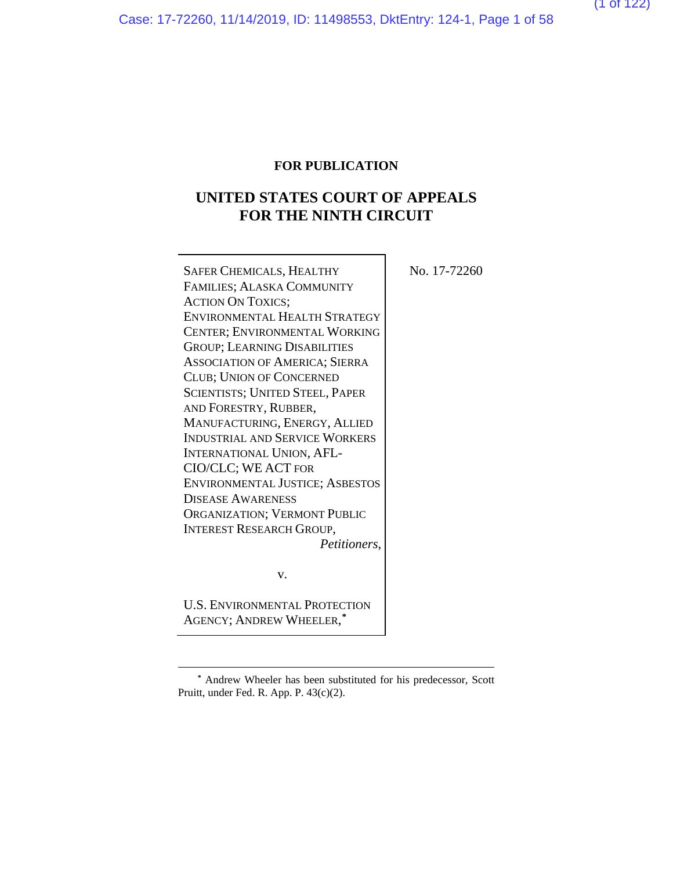Case: 17-72260, 11/14/2019, ID: 11498553, DktEntry: 124-1, Page 1 of 58

(1 of 122)

## **FOR PUBLICATION**

## **UNITED STATES COURT OF APPEALS FOR THE NINTH CIRCUIT**

| SAFER CHEMICALS, HEALTHY                                         | No. 17-72260 |
|------------------------------------------------------------------|--------------|
| FAMILIES; ALASKA COMMUNITY                                       |              |
| <b>ACTION ON TOXICS;</b>                                         |              |
| ENVIRONMENTAL HEALTH STRATEGY                                    |              |
| CENTER; ENVIRONMENTAL WORKING                                    |              |
| <b>GROUP; LEARNING DISABILITIES</b>                              |              |
| <b>ASSOCIATION OF AMERICA; SIERRA</b>                            |              |
| <b>CLUB; UNION OF CONCERNED</b>                                  |              |
| <b>SCIENTISTS; UNITED STEEL, PAPER</b>                           |              |
| AND FORESTRY, RUBBER,                                            |              |
| MANUFACTURING, ENERGY, ALLIED                                    |              |
| <b>INDUSTRIAL AND SERVICE WORKERS</b>                            |              |
| <b>INTERNATIONAL UNION, AFL-</b>                                 |              |
| CIO/CLC; WE ACT FOR                                              |              |
| <b>ENVIRONMENTAL JUSTICE; ASBESTOS</b>                           |              |
| <b>DISEASE AWARENESS</b>                                         |              |
| <b>ORGANIZATION; VERMONT PUBLIC</b>                              |              |
| <b>INTEREST RESEARCH GROUP,</b>                                  |              |
| Petitioners,                                                     |              |
|                                                                  |              |
| V.                                                               |              |
| <b>U.S. ENVIRONMENTAL PROTECTION</b><br>AGENCY; ANDREW WHEELER,* |              |
|                                                                  |              |

**<sup>\*</sup>** Andrew Wheeler has been substituted for his predecessor, Scott Pruitt, under Fed. R. App. P. 43(c)(2).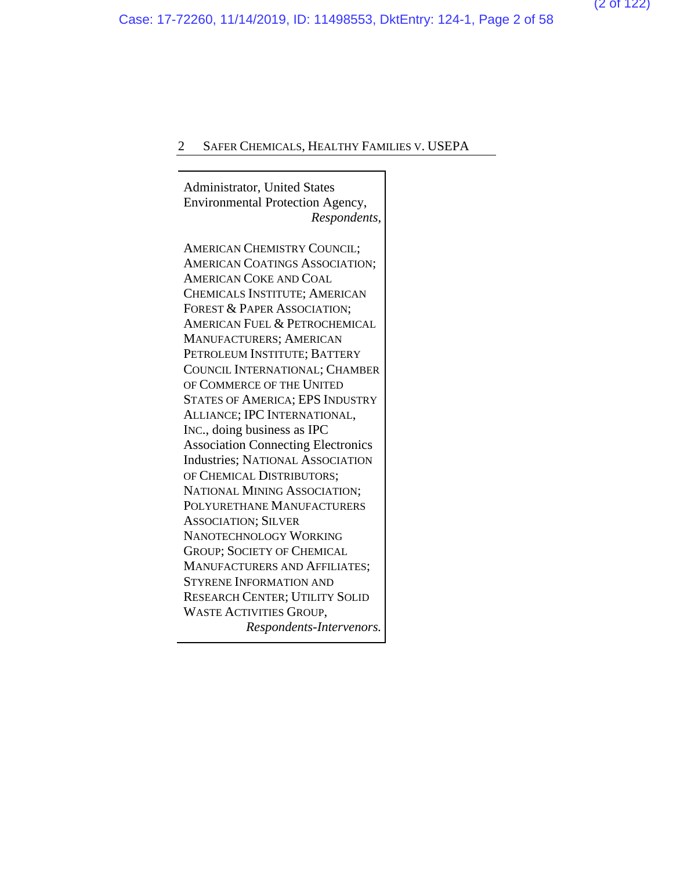Administrator, United States Environmental Protection Agency, *Respondents*,

AMERICAN CHEMISTRY COUNCIL; AMERICAN COATINGS ASSOCIATION; AMERICAN COKE AND COAL CHEMICALS INSTITUTE; AMERICAN FOREST & PAPER ASSOCIATION; AMERICAN FUEL & PETROCHEMICAL MANUFACTURERS; AMERICAN PETROLEUM INSTITUTE; BATTERY COUNCIL INTERNATIONAL; CHAMBER OF COMMERCE OF THE UNITED STATES OF AMERICA; EPS INDUSTRY ALLIANCE; IPC INTERNATIONAL, INC., doing business as IPC Association Connecting Electronics Industries; NATIONAL ASSOCIATION OF CHEMICAL DISTRIBUTORS; NATIONAL MINING ASSOCIATION; POLYURETHANE MANUFACTURERS ASSOCIATION; SILVER NANOTECHNOLOGY WORKING GROUP; SOCIETY OF CHEMICAL MANUFACTURERS AND AFFILIATES; STYRENE INFORMATION AND RESEARCH CENTER; UTILITY SOLID WASTE ACTIVITIES GROUP, *Respondents-Intervenors.*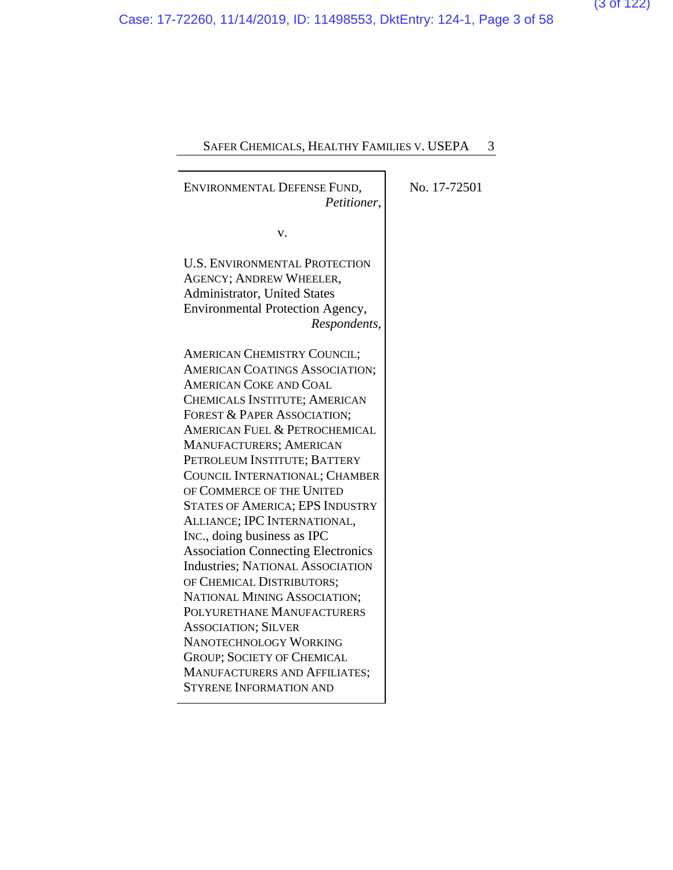| ENVIRONMENTAL DEFENSE FUND,<br>Petitioner,                                                                                                                                                                                                                                                                                                                                                                                                                                                                                                                                                                                                                                                             |  |
|--------------------------------------------------------------------------------------------------------------------------------------------------------------------------------------------------------------------------------------------------------------------------------------------------------------------------------------------------------------------------------------------------------------------------------------------------------------------------------------------------------------------------------------------------------------------------------------------------------------------------------------------------------------------------------------------------------|--|
| v.                                                                                                                                                                                                                                                                                                                                                                                                                                                                                                                                                                                                                                                                                                     |  |
| <b>U.S. ENVIRONMENTAL PROTECTION</b><br><b>AGENCY; ANDREW WHEELER,</b><br>Administrator, United States<br><b>Environmental Protection Agency,</b><br>Respondents,                                                                                                                                                                                                                                                                                                                                                                                                                                                                                                                                      |  |
| <b>AMERICAN CHEMISTRY COUNCIL;</b><br>AMERICAN COATINGS ASSOCIATION;<br><b>AMERICAN COKE AND COAL</b><br>CHEMICALS INSTITUTE; AMERICAN<br>FOREST & PAPER ASSOCIATION;<br><b>AMERICAN FUEL &amp; PETROCHEMICAL</b><br>MANUFACTURERS; AMERICAN<br>PETROLEUM INSTITUTE; BATTERY<br>COUNCIL INTERNATIONAL; CHAMBER<br>OF COMMERCE OF THE UNITED<br><b>STATES OF AMERICA; EPS INDUSTRY</b><br>ALLIANCE; IPC INTERNATIONAL,<br>INC., doing business as IPC<br><b>Association Connecting Electronics</b><br><b>Industries; NATIONAL ASSOCIATION</b><br>OF CHEMICAL DISTRIBUTORS;<br>NATIONAL MINING ASSOCIATION;<br>POLYURETHANE MANUFACTURERS<br><b>ASSOCIATION; SILVER</b><br><b>NANOTECHNOLOGY WORKING</b> |  |
| <b>GROUP; SOCIETY OF CHEMICAL</b><br>MANUFACTURERS AND AFFILIATES;<br><b>STYRENE INFORMATION AND</b>                                                                                                                                                                                                                                                                                                                                                                                                                                                                                                                                                                                                   |  |
|                                                                                                                                                                                                                                                                                                                                                                                                                                                                                                                                                                                                                                                                                                        |  |

No. 17-72501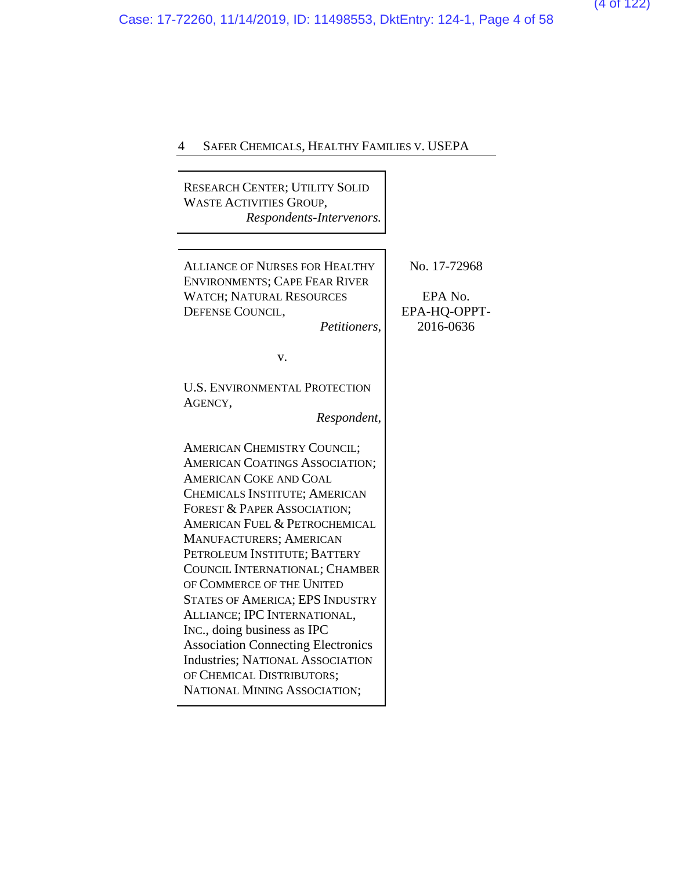RESEARCH CENTER; UTILITY SOLID WASTE ACTIVITIES GROUP, *Respondents-Intervenors.*

| <b>ALLIANCE OF NURSES FOR HEALTHY</b><br><b>ENVIRONMENTS; CAPE FEAR RIVER</b><br><b>WATCH; NATURAL RESOURCES</b><br>DEFENSE COUNCIL,<br>Petitioners,                                                                                                                                                                                                                                                                                                                                                     | No. 17-72968<br>EPA No.<br>EPA-HQ-OPPT-<br>2016-0636 |
|----------------------------------------------------------------------------------------------------------------------------------------------------------------------------------------------------------------------------------------------------------------------------------------------------------------------------------------------------------------------------------------------------------------------------------------------------------------------------------------------------------|------------------------------------------------------|
| V.                                                                                                                                                                                                                                                                                                                                                                                                                                                                                                       |                                                      |
| <b>U.S. ENVIRONMENTAL PROTECTION</b><br>AGENCY,<br>Respondent,                                                                                                                                                                                                                                                                                                                                                                                                                                           |                                                      |
| <b>AMERICAN CHEMISTRY COUNCIL;</b><br><b>AMERICAN COATINGS ASSOCIATION;</b><br><b>AMERICAN COKE AND COAL</b><br>CHEMICALS INSTITUTE; AMERICAN<br>FOREST & PAPER ASSOCIATION;<br><b>AMERICAN FUEL &amp; PETROCHEMICAL</b><br>MANUFACTURERS; AMERICAN<br>PETROLEUM INSTITUTE; BATTERY<br>COUNCIL INTERNATIONAL; CHAMBER<br>OF COMMERCE OF THE UNITED<br><b>STATES OF AMERICA; EPS INDUSTRY</b><br>ALLIANCE; IPC INTERNATIONAL,<br>INC., doing business as IPC<br><b>Association Connecting Electronics</b> |                                                      |
| <b>Industries; NATIONAL ASSOCIATION</b><br>OF CHEMICAL DISTRIBUTORS;<br>NATIONAL MINING ASSOCIATION;                                                                                                                                                                                                                                                                                                                                                                                                     |                                                      |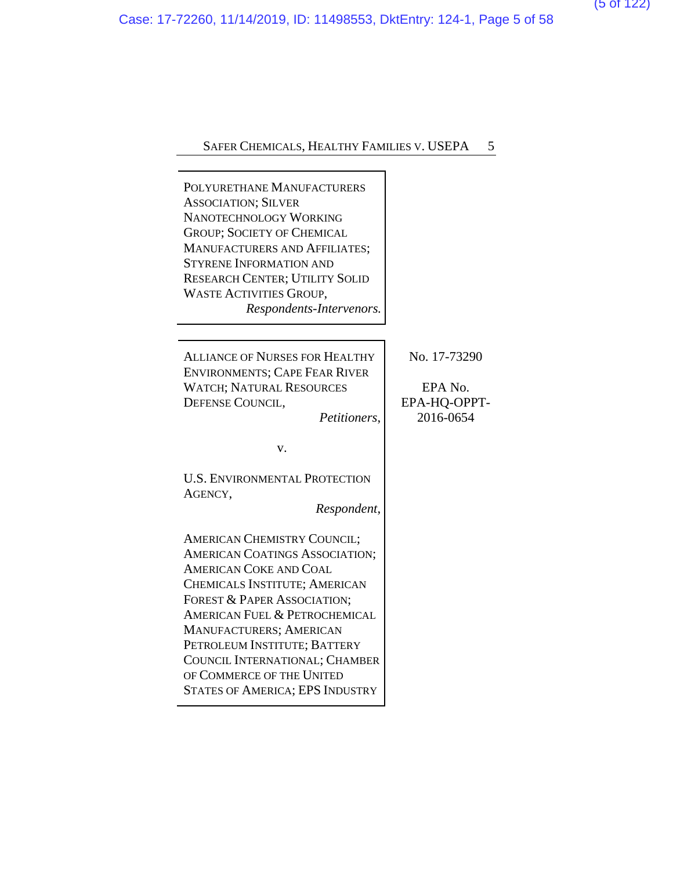POLYURETHANE MANUFACTURERS ASSOCIATION; SILVER NANOTECHNOLOGY WORKING GROUP; SOCIETY OF CHEMICAL MANUFACTURERS AND AFFILIATES; STYRENE INFORMATION AND RESEARCH CENTER; UTILITY SOLID WASTE ACTIVITIES GROUP, *Respondents-Intervenors.* ALLIANCE OF NURSES FOR HEALTHY ENVIRONMENTS; CAPE FEAR RIVER WATCH; NATURAL RESOURCES DEFENSE COUNCIL, *Petitioners*,

No. 17-73290

EPA No. EPA-HQ-OPPT-2016-0654

v.

U.S. ENVIRONMENTAL PROTECTION AGENCY,

*Respondent*,

AMERICAN CHEMISTRY COUNCIL; AMERICAN COATINGS ASSOCIATION; AMERICAN COKE AND COAL CHEMICALS INSTITUTE; AMERICAN FOREST & PAPER ASSOCIATION; AMERICAN FUEL & PETROCHEMICAL MANUFACTURERS; AMERICAN PETROLEUM INSTITUTE; BATTERY COUNCIL INTERNATIONAL; CHAMBER OF COMMERCE OF THE UNITED STATES OF AMERICA; EPS INDUSTRY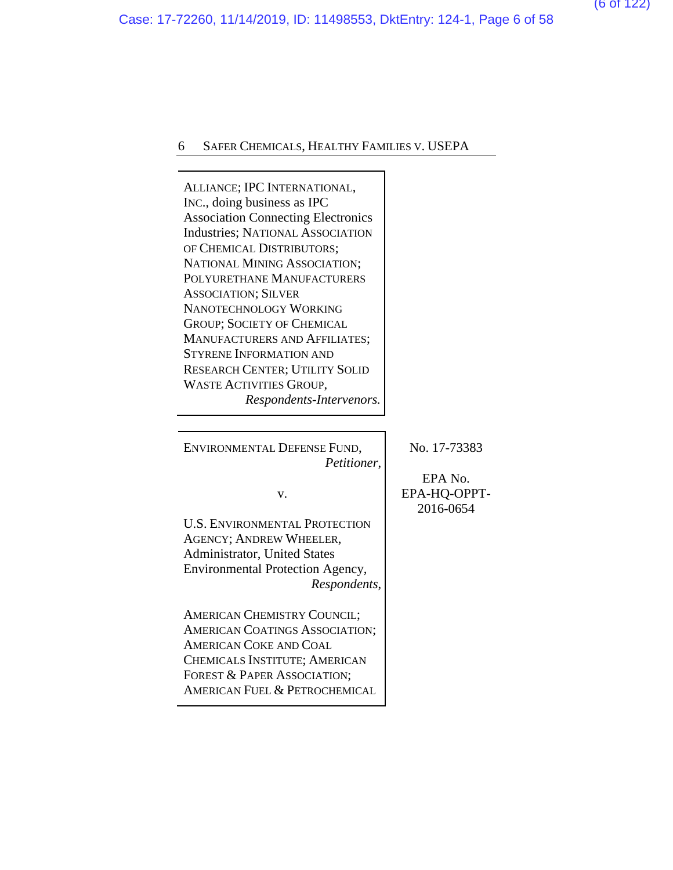Case: 17-72260, 11/14/2019, ID: 11498553, DktEntry: 124-1, Page 6 of 58

## 6 SAFER CHEMICALS, HEALTHY FAMILIES V. USEPA

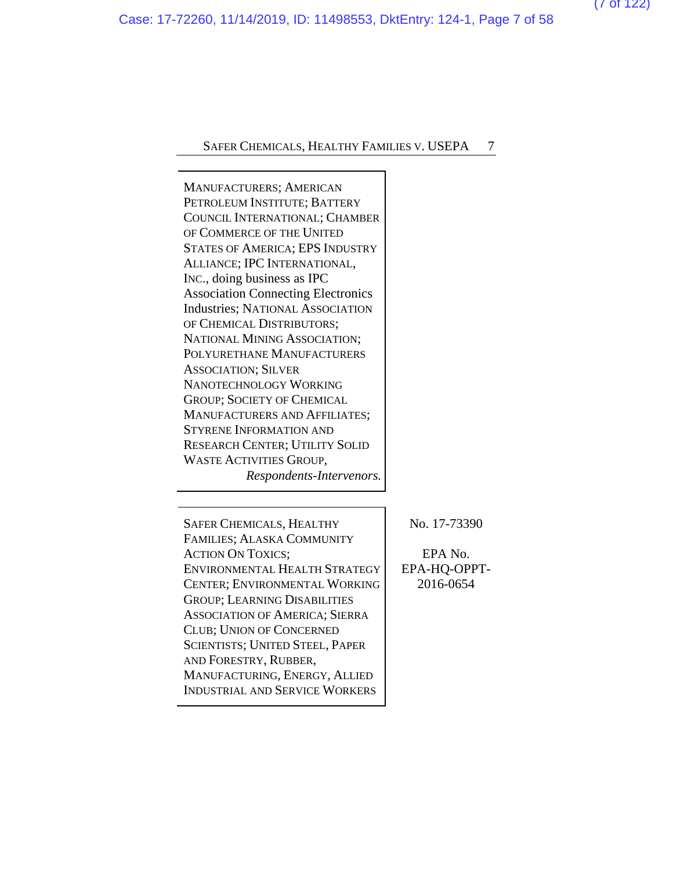(7 of 122)

Case: 17-72260, 11/14/2019, ID: 11498553, DktEntry: 124-1, Page 7 of 58

## SAFER CHEMICALS, HEALTHY FAMILIES V. USEPA 7

MANUFACTURERS; AMERICAN PETROLEUM INSTITUTE; BATTERY COUNCIL INTERNATIONAL; CHAMBER OF COMMERCE OF THE UNITED STATES OF AMERICA; EPS INDUSTRY ALLIANCE; IPC INTERNATIONAL, INC., doing business as IPC Association Connecting Electronics Industries; NATIONAL ASSOCIATION OF CHEMICAL DISTRIBUTORS; NATIONAL MINING ASSOCIATION; POLYURETHANE MANUFACTURERS ASSOCIATION; SILVER NANOTECHNOLOGY WORKING GROUP; SOCIETY OF CHEMICAL MANUFACTURERS AND AFFILIATES; STYRENE INFORMATION AND RESEARCH CENTER; UTILITY SOLID WASTE ACTIVITIES GROUP, *Respondents-Intervenors.*

SAFER CHEMICALS, HEALTHY FAMILIES; ALASKA COMMUNITY ACTION ON TOXICS; ENVIRONMENTAL HEALTH STRATEGY CENTER; ENVIRONMENTAL WORKING GROUP; LEARNING DISABILITIES ASSOCIATION OF AMERICA; SIERRA CLUB; UNION OF CONCERNED SCIENTISTS; UNITED STEEL, PAPER AND FORESTRY, RUBBER, MANUFACTURING, ENERGY, ALLIED INDUSTRIAL AND SERVICE WORKERS

No. 17-73390

EPA No. EPA-HQ-OPPT-2016-0654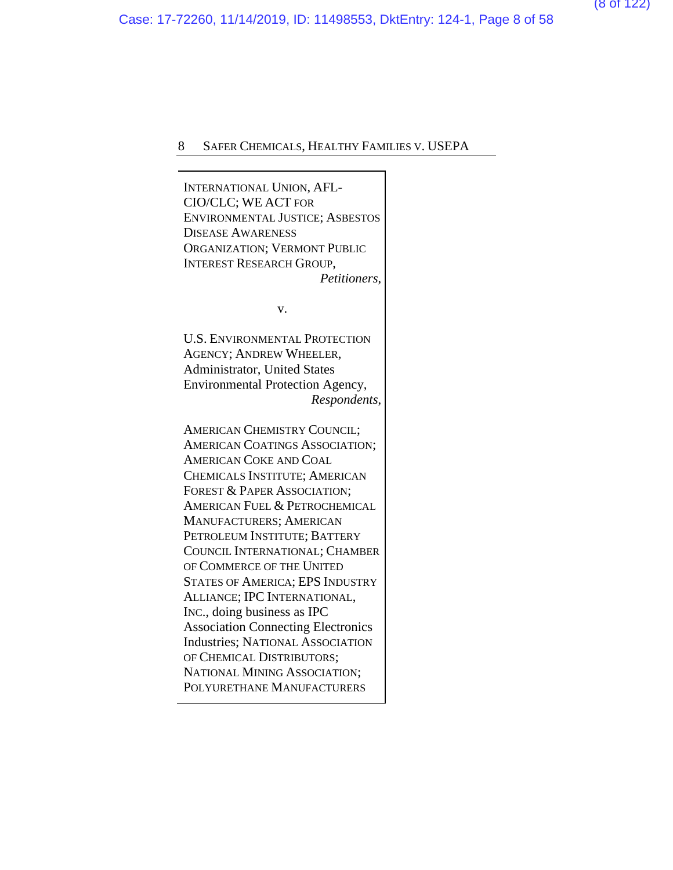INTERNATIONAL UNION, AFL-CIO/CLC; WE ACT FOR ENVIRONMENTAL JUSTICE; ASBESTOS DISEASE AWARENESS ORGANIZATION; VERMONT PUBLIC INTEREST RESEARCH GROUP, *Petitioners*, v. U.S. ENVIRONMENTAL PROTECTION AGENCY; ANDREW WHEELER, Administrator, United States Environmental Protection Agency, *Respondents*, AMERICAN CHEMISTRY COUNCIL; AMERICAN COATINGS ASSOCIATION; AMERICAN COKE AND COAL CHEMICALS INSTITUTE; AMERICAN FOREST & PAPER ASSOCIATION; AMERICAN FUEL & PETROCHEMICAL MANUFACTURERS; AMERICAN PETROLEUM INSTITUTE; BATTERY COUNCIL INTERNATIONAL; CHAMBER OF COMMERCE OF THE UNITED STATES OF AMERICA; EPS INDUSTRY ALLIANCE; IPC INTERNATIONAL, INC., doing business as IPC Association Connecting Electronics Industries; NATIONAL ASSOCIATION OF CHEMICAL DISTRIBUTORS; NATIONAL MINING ASSOCIATION; POLYURETHANE MANUFACTURERS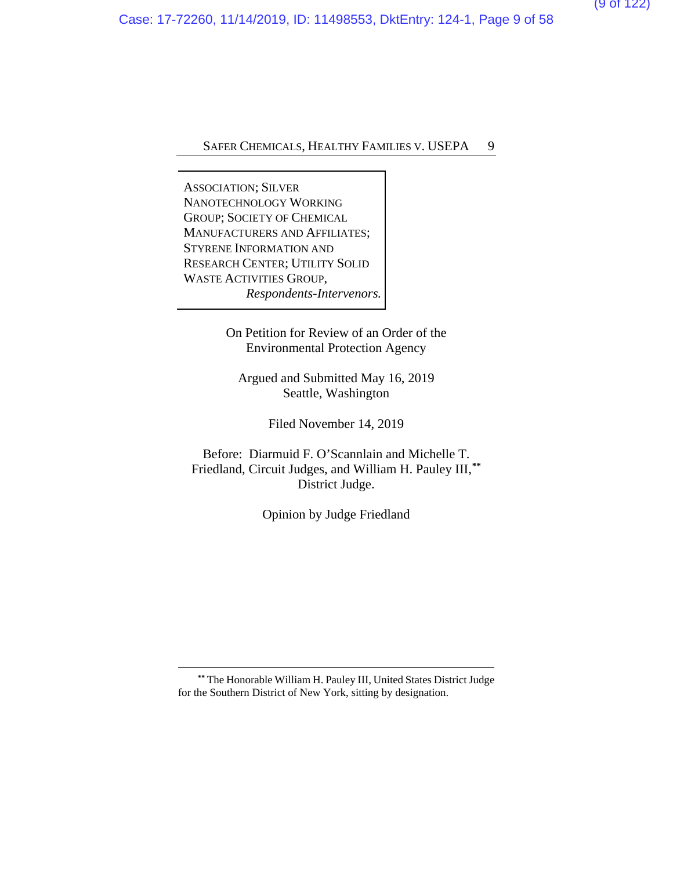ASSOCIATION; SILVER NANOTECHNOLOGY WORKING GROUP; SOCIETY OF CHEMICAL MANUFACTURERS AND AFFILIATES; STYRENE INFORMATION AND RESEARCH CENTER; UTILITY SOLID WASTE ACTIVITIES GROUP, *Respondents-Intervenors.*

> On Petition for Review of an Order of the Environmental Protection Agency

Argued and Submitted May 16, 2019 Seattle, Washington

Filed November 14, 2019

Before: Diarmuid F. O'Scannlain and Michelle T. Friedland, Circuit Judges, and William H. Pauley III,**[\\*\\*](#page-57-0)** District Judge.

Opinion by Judge Friedland

**\*\*** The Honorable William H. Pauley III, United States District Judge for the Southern District of New York, sitting by designation.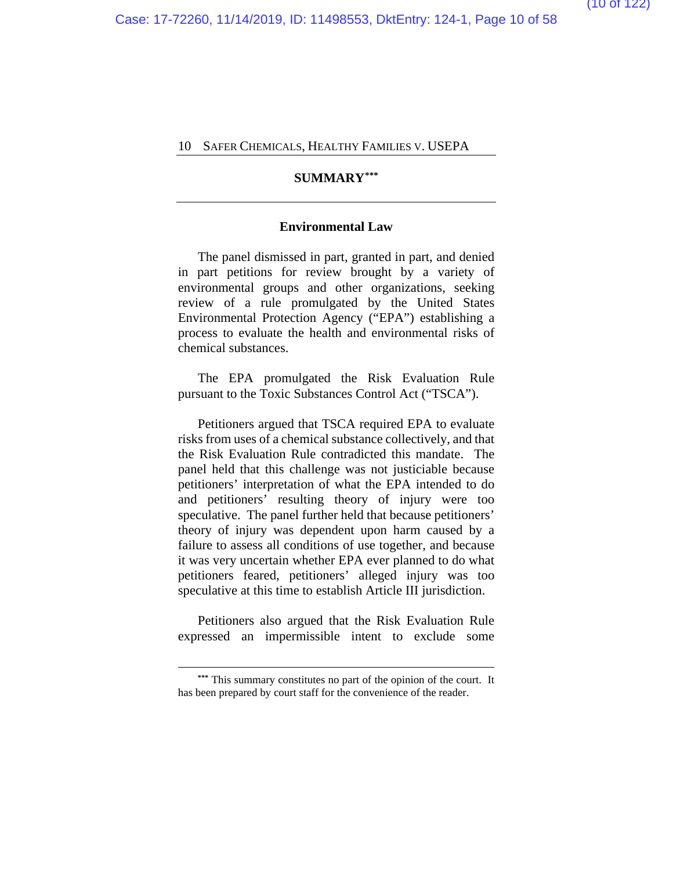## **SUMMARY[\\*\\*\\*](#page-57-0)**

#### **Environmental Law**

The panel dismissed in part, granted in part, and denied in part petitions for review brought by a variety of environmental groups and other organizations, seeking review of a rule promulgated by the United States Environmental Protection Agency ("EPA") establishing a process to evaluate the health and environmental risks of chemical substances.

The EPA promulgated the Risk Evaluation Rule pursuant to the Toxic Substances Control Act ("TSCA").

Petitioners argued that TSCA required EPA to evaluate risks from uses of a chemical substance collectively, and that the Risk Evaluation Rule contradicted this mandate. The panel held that this challenge was not justiciable because petitioners' interpretation of what the EPA intended to do and petitioners' resulting theory of injury were too speculative. The panel further held that because petitioners' theory of injury was dependent upon harm caused by a failure to assess all conditions of use together, and because it was very uncertain whether EPA ever planned to do what petitioners feared, petitioners' alleged injury was too speculative at this time to establish Article III jurisdiction.

Petitioners also argued that the Risk Evaluation Rule expressed an impermissible intent to exclude some

**<sup>\*\*\*</sup>** This summary constitutes no part of the opinion of the court. It has been prepared by court staff for the convenience of the reader.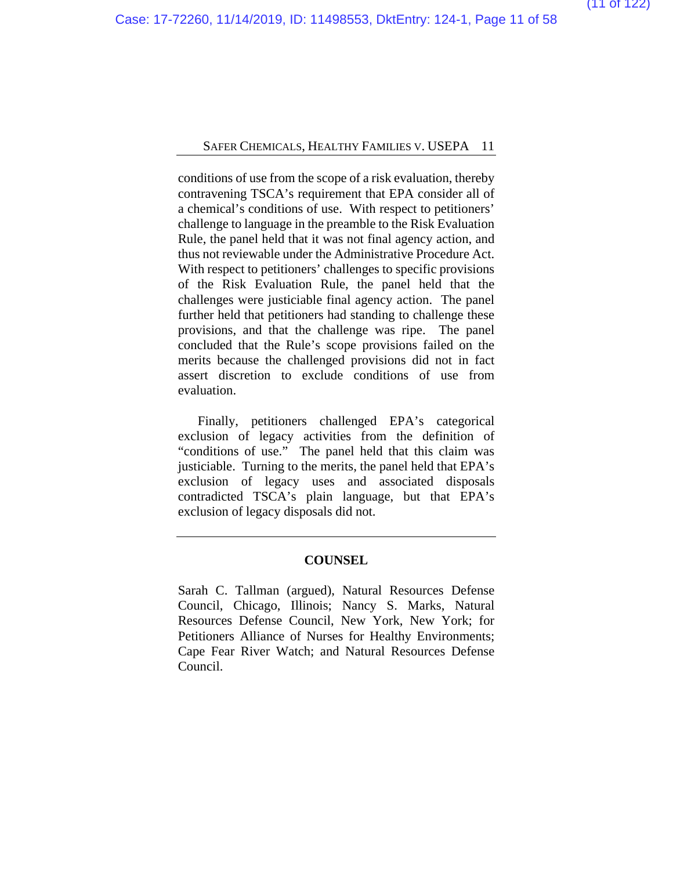conditions of use from the scope of a risk evaluation, thereby contravening TSCA's requirement that EPA consider all of a chemical's conditions of use. With respect to petitioners' challenge to language in the preamble to the Risk Evaluation Rule, the panel held that it was not final agency action, and thus not reviewable under the Administrative Procedure Act. With respect to petitioners' challenges to specific provisions of the Risk Evaluation Rule, the panel held that the challenges were justiciable final agency action. The panel further held that petitioners had standing to challenge these provisions, and that the challenge was ripe. The panel concluded that the Rule's scope provisions failed on the merits because the challenged provisions did not in fact assert discretion to exclude conditions of use from evaluation.

Finally, petitioners challenged EPA's categorical exclusion of legacy activities from the definition of "conditions of use." The panel held that this claim was justiciable. Turning to the merits, the panel held that EPA's exclusion of legacy uses and associated disposals contradicted TSCA's plain language, but that EPA's exclusion of legacy disposals did not.

#### **COUNSEL**

Sarah C. Tallman (argued), Natural Resources Defense Council, Chicago, Illinois; Nancy S. Marks, Natural Resources Defense Council, New York, New York; for Petitioners Alliance of Nurses for Healthy Environments; Cape Fear River Watch; and Natural Resources Defense Council.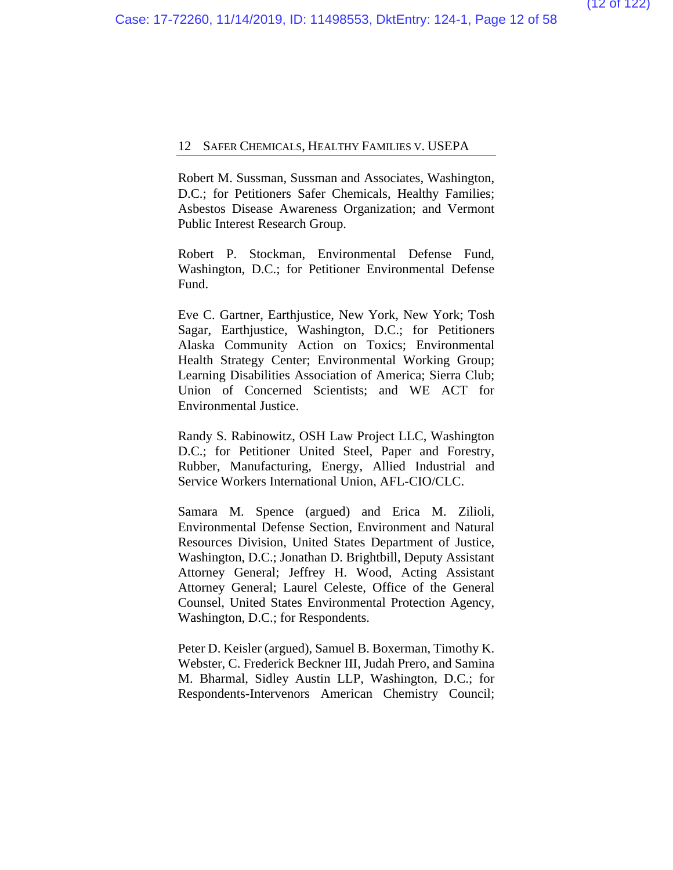Robert M. Sussman, Sussman and Associates, Washington, D.C.; for Petitioners Safer Chemicals, Healthy Families; Asbestos Disease Awareness Organization; and Vermont Public Interest Research Group.

Robert P. Stockman, Environmental Defense Fund, Washington, D.C.; for Petitioner Environmental Defense Fund.

Eve C. Gartner, Earthjustice, New York, New York; Tosh Sagar, Earthjustice, Washington, D.C.; for Petitioners Alaska Community Action on Toxics; Environmental Health Strategy Center; Environmental Working Group; Learning Disabilities Association of America; Sierra Club; Union of Concerned Scientists; and WE ACT for Environmental Justice.

Randy S. Rabinowitz, OSH Law Project LLC, Washington D.C.; for Petitioner United Steel, Paper and Forestry, Rubber, Manufacturing, Energy, Allied Industrial and Service Workers International Union, AFL-CIO/CLC.

Samara M. Spence (argued) and Erica M. Zilioli, Environmental Defense Section, Environment and Natural Resources Division, United States Department of Justice, Washington, D.C.; Jonathan D. Brightbill, Deputy Assistant Attorney General; Jeffrey H. Wood, Acting Assistant Attorney General; Laurel Celeste, Office of the General Counsel, United States Environmental Protection Agency, Washington, D.C.; for Respondents.

Peter D. Keisler (argued), Samuel B. Boxerman, Timothy K. Webster, C. Frederick Beckner III, Judah Prero, and Samina M. Bharmal, Sidley Austin LLP, Washington, D.C.; for Respondents-Intervenors American Chemistry Council;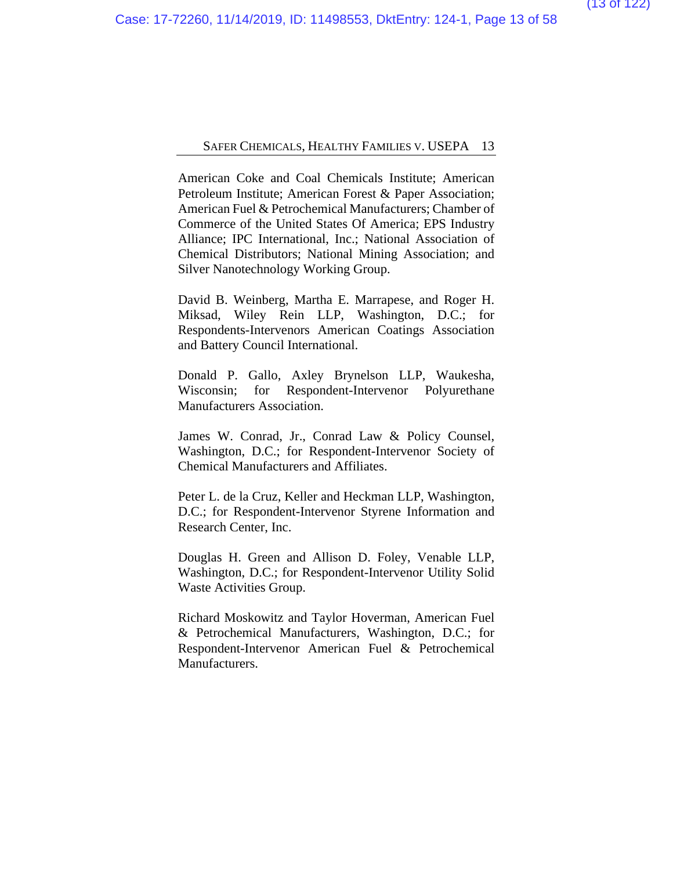American Coke and Coal Chemicals Institute; American Petroleum Institute; American Forest & Paper Association; American Fuel & Petrochemical Manufacturers; Chamber of Commerce of the United States Of America; EPS Industry Alliance; IPC International, Inc.; National Association of Chemical Distributors; National Mining Association; and Silver Nanotechnology Working Group.

David B. Weinberg, Martha E. Marrapese, and Roger H. Miksad, Wiley Rein LLP, Washington, D.C.; for Respondents-Intervenors American Coatings Association and Battery Council International.

Donald P. Gallo, Axley Brynelson LLP, Waukesha, Wisconsin; for Respondent-Intervenor Polyurethane Manufacturers Association.

James W. Conrad, Jr., Conrad Law & Policy Counsel, Washington, D.C.; for Respondent-Intervenor Society of Chemical Manufacturers and Affiliates.

Peter L. de la Cruz, Keller and Heckman LLP, Washington, D.C.; for Respondent-Intervenor Styrene Information and Research Center, Inc.

Douglas H. Green and Allison D. Foley, Venable LLP, Washington, D.C.; for Respondent-Intervenor Utility Solid Waste Activities Group.

Richard Moskowitz and Taylor Hoverman, American Fuel & Petrochemical Manufacturers, Washington, D.C.; for Respondent-Intervenor American Fuel & Petrochemical Manufacturers.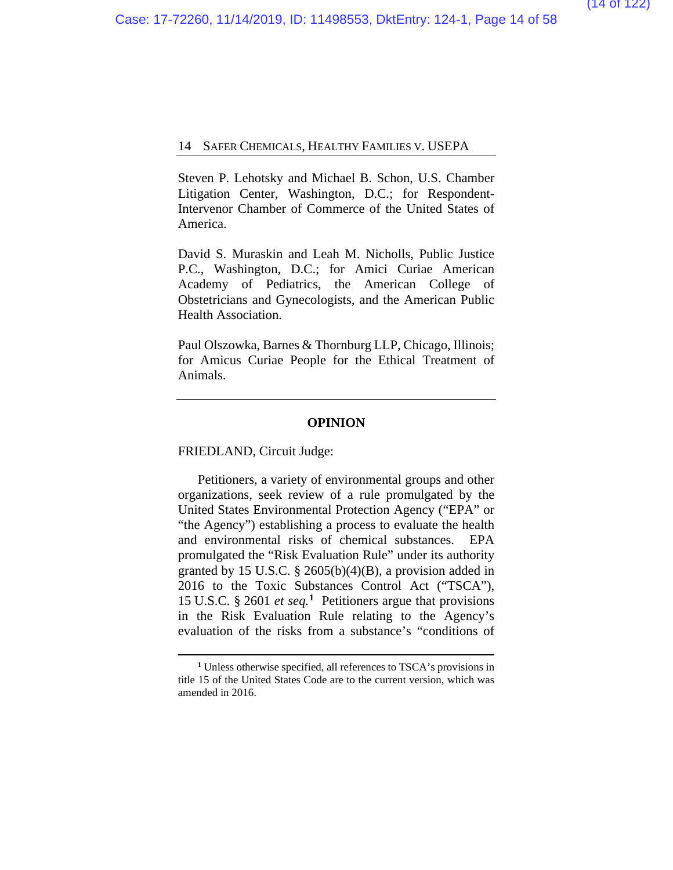Steven P. Lehotsky and Michael B. Schon, U.S. Chamber Litigation Center, Washington, D.C.; for Respondent-Intervenor Chamber of Commerce of the United States of America.

David S. Muraskin and Leah M. Nicholls, Public Justice P.C., Washington, D.C.; for Amici Curiae American Academy of Pediatrics, the American College of Obstetricians and Gynecologists, and the American Public Health Association.

Paul Olszowka, Barnes & Thornburg LLP, Chicago, Illinois; for Amicus Curiae People for the Ethical Treatment of Animals.

#### **OPINION**

FRIEDLAND, Circuit Judge:

Petitioners, a variety of environmental groups and other organizations, seek review of a rule promulgated by the United States Environmental Protection Agency ("EPA" or "the Agency") establishing a process to evaluate the health and environmental risks of chemical substances. EPA promulgated the "Risk Evaluation Rule" under its authority granted by 15 U.S.C.  $\S$  2605(b)(4)(B), a provision added in 2016 to the Toxic Substances Control Act ("TSCA"), 15 U.S.C. § 2601 *et seq.***[1](#page-57-0)** Petitioners argue that provisions in the Risk Evaluation Rule relating to the Agency's evaluation of the risks from a substance's "conditions of

**<sup>1</sup>** Unless otherwise specified, all references to TSCA's provisions in title 15 of the United States Code are to the current version, which was amended in 2016.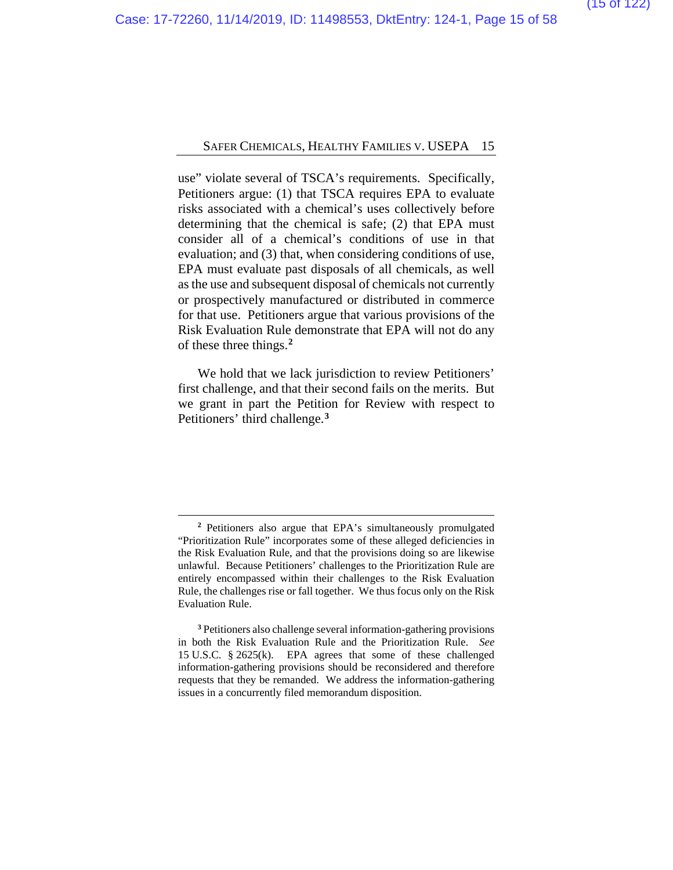use" violate several of TSCA's requirements. Specifically, Petitioners argue: (1) that TSCA requires EPA to evaluate risks associated with a chemical's uses collectively before determining that the chemical is safe; (2) that EPA must consider all of a chemical's conditions of use in that evaluation; and (3) that, when considering conditions of use, EPA must evaluate past disposals of all chemicals, as well as the use and subsequent disposal of chemicals not currently or prospectively manufactured or distributed in commerce for that use. Petitioners argue that various provisions of the Risk Evaluation Rule demonstrate that EPA will not do any of these three things.**[2](#page-57-0)**

We hold that we lack jurisdiction to review Petitioners' first challenge, and that their second fails on the merits. But we grant in part the Petition for Review with respect to Petitioners' third challenge.**[3](#page-57-0)**

**<sup>2</sup>** Petitioners also argue that EPA's simultaneously promulgated "Prioritization Rule" incorporates some of these alleged deficiencies in the Risk Evaluation Rule, and that the provisions doing so are likewise unlawful. Because Petitioners' challenges to the Prioritization Rule are entirely encompassed within their challenges to the Risk Evaluation Rule, the challenges rise or fall together. We thus focus only on the Risk Evaluation Rule.

**<sup>3</sup>** Petitioners also challenge several information-gathering provisions in both the Risk Evaluation Rule and the Prioritization Rule. *See*  15 U.S.C. § 2625(k). EPA agrees that some of these challenged information-gathering provisions should be reconsidered and therefore requests that they be remanded. We address the information-gathering issues in a concurrently filed memorandum disposition.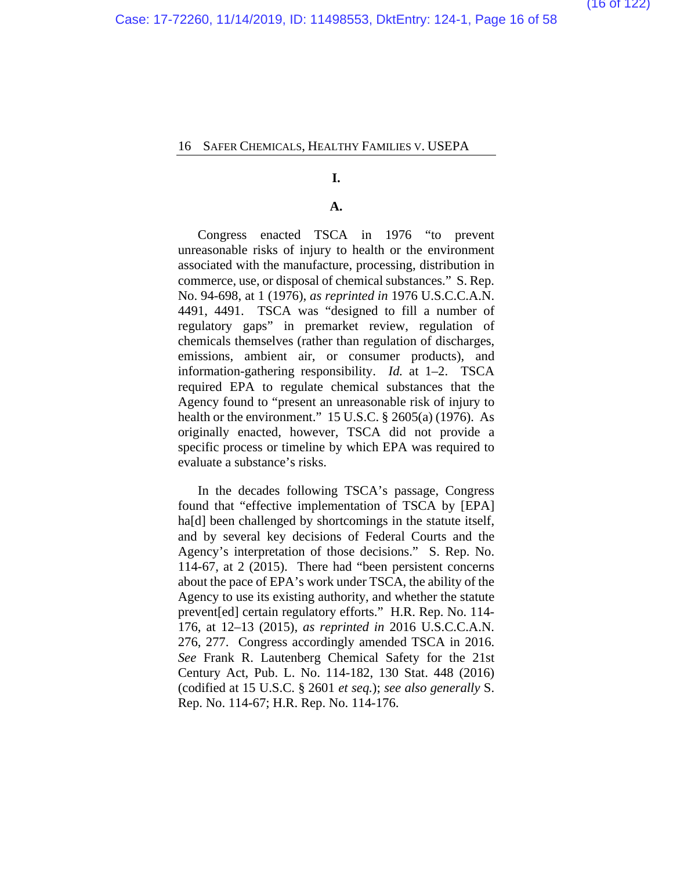#### **I.**

#### **A.**

Congress enacted TSCA in 1976 "to prevent unreasonable risks of injury to health or the environment associated with the manufacture, processing, distribution in commerce, use, or disposal of chemical substances." S. Rep. No. 94-698, at 1 (1976), *as reprinted in* 1976 U.S.C.C.A.N. 4491, 4491. TSCA was "designed to fill a number of regulatory gaps" in premarket review, regulation of chemicals themselves (rather than regulation of discharges, emissions, ambient air, or consumer products), and information-gathering responsibility. *Id.* at 1–2. TSCA required EPA to regulate chemical substances that the Agency found to "present an unreasonable risk of injury to health or the environment." 15 U.S.C. § 2605(a) (1976). As originally enacted, however, TSCA did not provide a specific process or timeline by which EPA was required to evaluate a substance's risks.

In the decades following TSCA's passage, Congress found that "effective implementation of TSCA by [EPA] ha<sup>[d]</sup> been challenged by shortcomings in the statute itself, and by several key decisions of Federal Courts and the Agency's interpretation of those decisions." S. Rep. No. 114-67, at 2 (2015). There had "been persistent concerns about the pace of EPA's work under TSCA, the ability of the Agency to use its existing authority, and whether the statute prevent[ed] certain regulatory efforts." H.R. Rep. No. 114- 176, at 12–13 (2015), *as reprinted in* 2016 U.S.C.C.A.N. 276, 277. Congress accordingly amended TSCA in 2016. *See* Frank R. Lautenberg Chemical Safety for the 21st Century Act, Pub. L. No. 114-182, 130 Stat. 448 (2016) (codified at 15 U.S.C. § 2601 *et seq.*); *see also generally* S. Rep. No. 114-67; H.R. Rep. No. 114-176.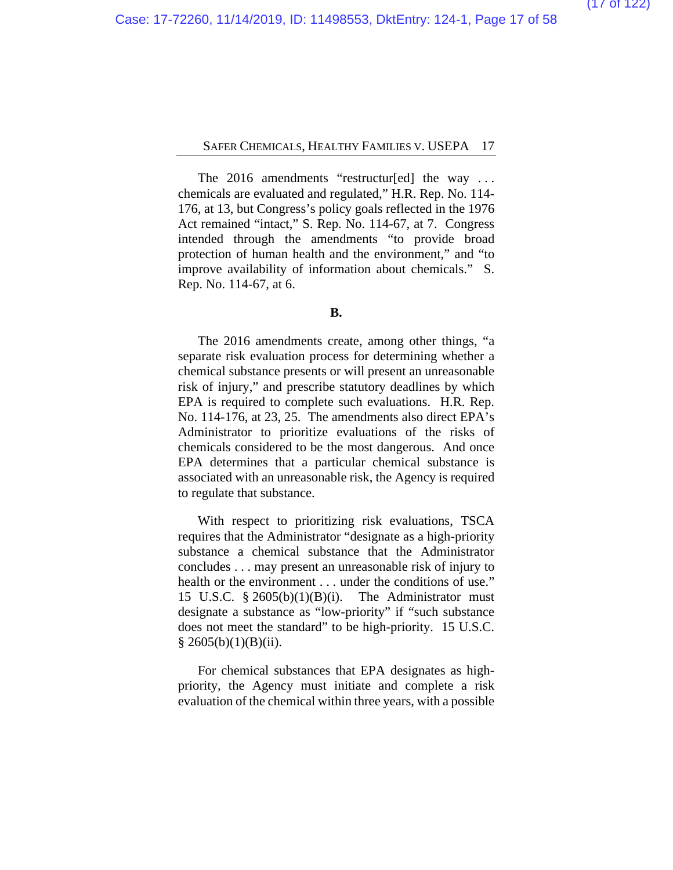The 2016 amendments "restructur[ed] the way ... chemicals are evaluated and regulated," H.R. Rep. No. 114- 176, at 13, but Congress's policy goals reflected in the 1976 Act remained "intact," S. Rep. No. 114-67, at 7. Congress intended through the amendments "to provide broad protection of human health and the environment," and "to improve availability of information about chemicals." S. Rep. No. 114-67, at 6.

#### **B.**

The 2016 amendments create, among other things, "a separate risk evaluation process for determining whether a chemical substance presents or will present an unreasonable risk of injury," and prescribe statutory deadlines by which EPA is required to complete such evaluations. H.R. Rep. No. 114-176, at 23, 25. The amendments also direct EPA's Administrator to prioritize evaluations of the risks of chemicals considered to be the most dangerous. And once EPA determines that a particular chemical substance is associated with an unreasonable risk, the Agency is required to regulate that substance.

With respect to prioritizing risk evaluations, TSCA requires that the Administrator "designate as a high-priority substance a chemical substance that the Administrator concludes . . . may present an unreasonable risk of injury to health or the environment . . . under the conditions of use." 15 U.S.C.  $\frac{8}{9}$  2605(b)(1)(B)(i). The Administrator must designate a substance as "low-priority" if "such substance does not meet the standard" to be high-priority. 15 U.S.C.  $§ 2605(b)(1)(B)(ii).$ 

For chemical substances that EPA designates as highpriority, the Agency must initiate and complete a risk evaluation of the chemical within three years, with a possible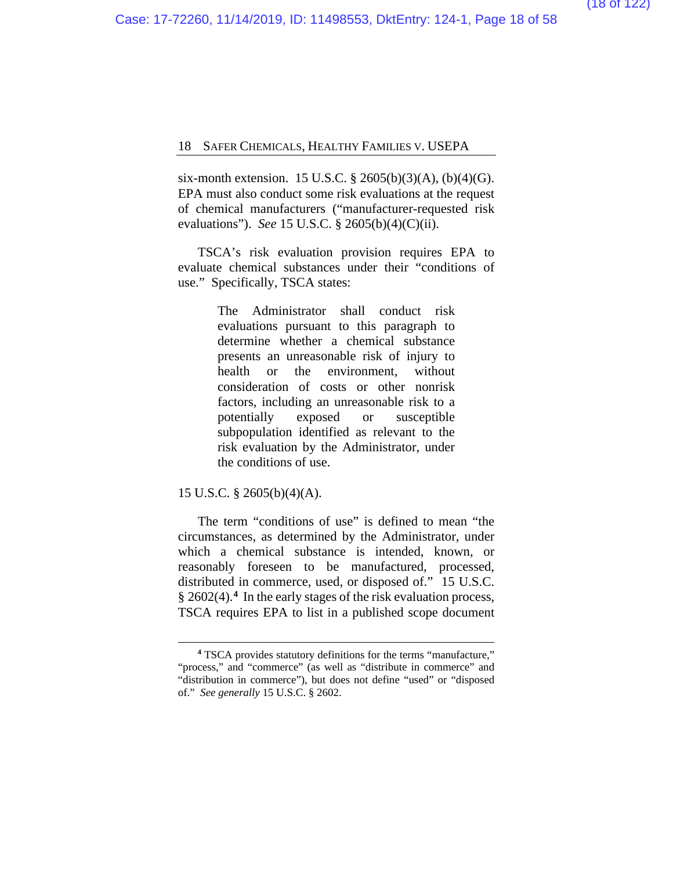six-month extension. 15 U.S.C. § 2605(b)(3)(A), (b)(4)(G). EPA must also conduct some risk evaluations at the request of chemical manufacturers ("manufacturer-requested risk evaluations"). *See* 15 U.S.C. § 2605(b)(4)(C)(ii).

TSCA's risk evaluation provision requires EPA to evaluate chemical substances under their "conditions of use." Specifically, TSCA states:

> The Administrator shall conduct risk evaluations pursuant to this paragraph to determine whether a chemical substance presents an unreasonable risk of injury to health or the environment, without consideration of costs or other nonrisk factors, including an unreasonable risk to a potentially exposed or susceptible subpopulation identified as relevant to the risk evaluation by the Administrator, under the conditions of use.

15 U.S.C. § 2605(b)(4)(A).

The term "conditions of use" is defined to mean "the circumstances, as determined by the Administrator, under which a chemical substance is intended, known, or reasonably foreseen to be manufactured, processed, distributed in commerce, used, or disposed of." 15 U.S.C. § 2602(4).**[4](#page-57-0)** In the early stages of the risk evaluation process, TSCA requires EPA to list in a published scope document

**<sup>4</sup>** TSCA provides statutory definitions for the terms "manufacture," "process," and "commerce" (as well as "distribute in commerce" and "distribution in commerce"), but does not define "used" or "disposed of." *See generally* 15 U.S.C. § 2602.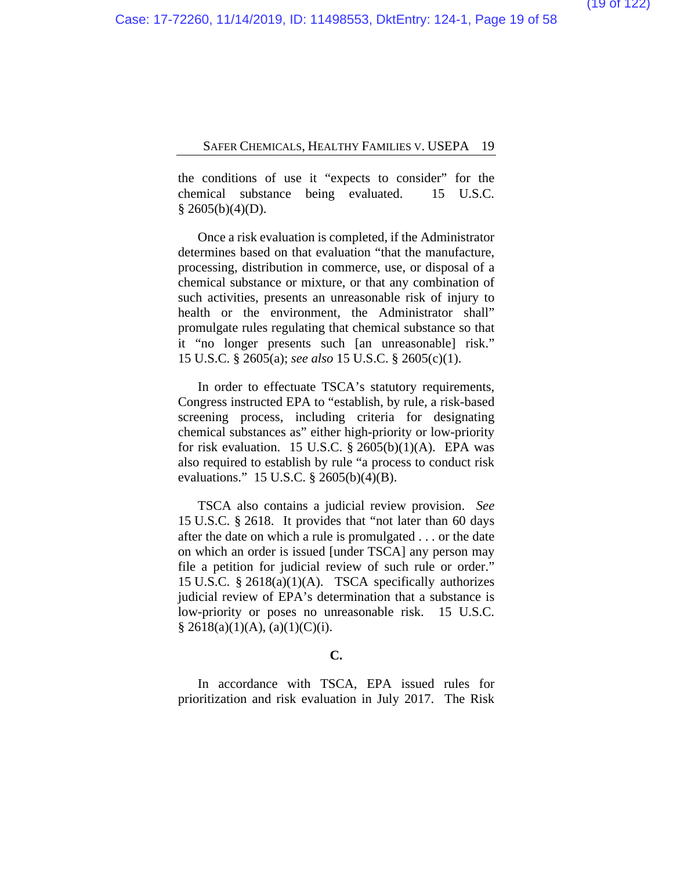the conditions of use it "expects to consider" for the chemical substance being evaluated. 15 U.S.C.  $§$  2605(b)(4)(D).

Once a risk evaluation is completed, if the Administrator determines based on that evaluation "that the manufacture, processing, distribution in commerce, use, or disposal of a chemical substance or mixture, or that any combination of such activities, presents an unreasonable risk of injury to health or the environment, the Administrator shall" promulgate rules regulating that chemical substance so that it "no longer presents such [an unreasonable] risk." 15 U.S.C. § 2605(a); *see also* 15 U.S.C. § 2605(c)(1).

In order to effectuate TSCA's statutory requirements, Congress instructed EPA to "establish, by rule, a risk-based screening process, including criteria for designating chemical substances as" either high-priority or low-priority for risk evaluation. 15 U.S.C.  $\S$  2605(b)(1)(A). EPA was also required to establish by rule "a process to conduct risk evaluations." 15 U.S.C. § 2605(b)(4)(B).

TSCA also contains a judicial review provision. *See*  15 U.S.C. § 2618. It provides that "not later than 60 days after the date on which a rule is promulgated . . . or the date on which an order is issued [under TSCA] any person may file a petition for judicial review of such rule or order." 15 U.S.C. § 2618(a)(1)(A). TSCA specifically authorizes judicial review of EPA's determination that a substance is low-priority or poses no unreasonable risk. 15 U.S.C.  $§ 2618(a)(1)(A), (a)(1)(C)(i).$ 

#### **C.**

In accordance with TSCA, EPA issued rules for prioritization and risk evaluation in July 2017. The Risk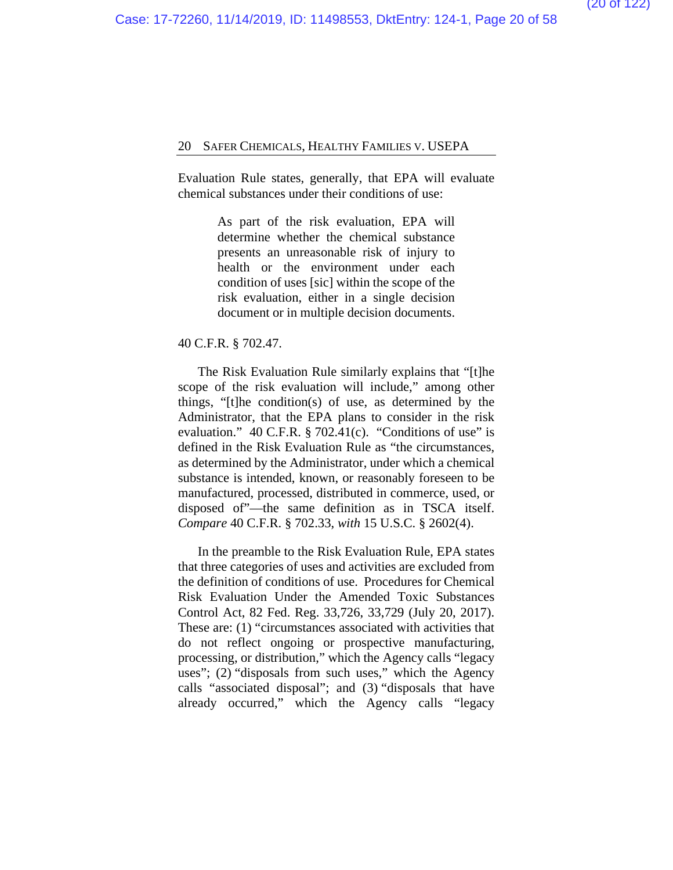Evaluation Rule states, generally, that EPA will evaluate chemical substances under their conditions of use:

> As part of the risk evaluation, EPA will determine whether the chemical substance presents an unreasonable risk of injury to health or the environment under each condition of uses [sic] within the scope of the risk evaluation, either in a single decision document or in multiple decision documents.

### 40 C.F.R. § 702.47.

The Risk Evaluation Rule similarly explains that "[t]he scope of the risk evaluation will include," among other things, "[t]he condition(s) of use, as determined by the Administrator, that the EPA plans to consider in the risk evaluation."  $40$  C.F.R. § 702.41(c). "Conditions of use" is defined in the Risk Evaluation Rule as "the circumstances, as determined by the Administrator, under which a chemical substance is intended, known, or reasonably foreseen to be manufactured, processed, distributed in commerce, used, or disposed of"—the same definition as in TSCA itself. *Compare* 40 C.F.R. § 702.33, *with* 15 U.S.C. § 2602(4).

In the preamble to the Risk Evaluation Rule, EPA states that three categories of uses and activities are excluded from the definition of conditions of use. Procedures for Chemical Risk Evaluation Under the Amended Toxic Substances Control Act, 82 Fed. Reg. 33,726, 33,729 (July 20, 2017). These are: (1) "circumstances associated with activities that do not reflect ongoing or prospective manufacturing, processing, or distribution," which the Agency calls "legacy uses"; (2) "disposals from such uses," which the Agency calls "associated disposal"; and (3) "disposals that have already occurred," which the Agency calls "legacy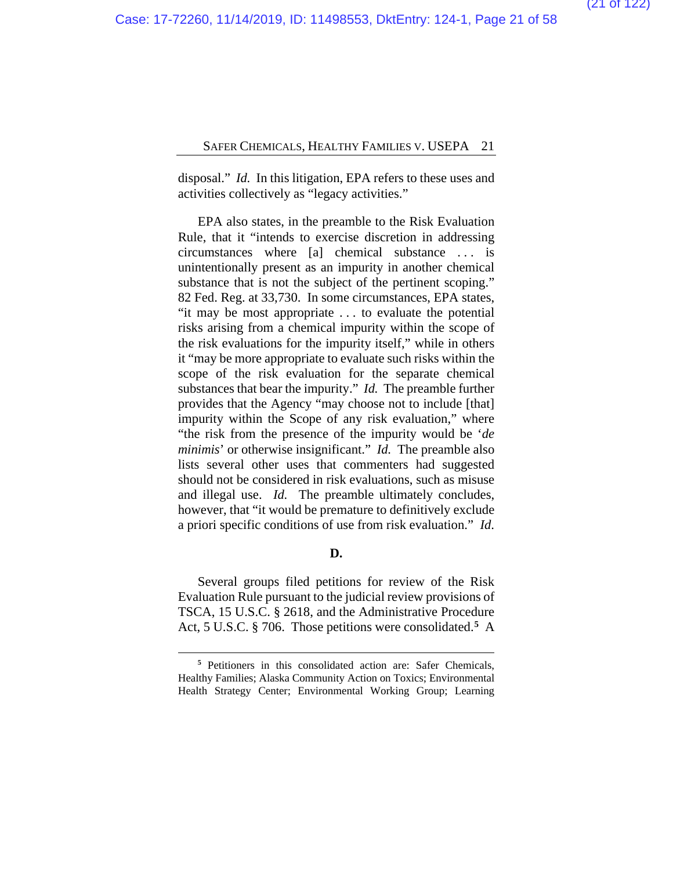disposal." *Id.* In this litigation, EPA refers to these uses and activities collectively as "legacy activities."

EPA also states, in the preamble to the Risk Evaluation Rule, that it "intends to exercise discretion in addressing circumstances where [a] chemical substance . . . is unintentionally present as an impurity in another chemical substance that is not the subject of the pertinent scoping." 82 Fed. Reg. at 33,730. In some circumstances, EPA states, "it may be most appropriate . . . to evaluate the potential risks arising from a chemical impurity within the scope of the risk evaluations for the impurity itself," while in others it "may be more appropriate to evaluate such risks within the scope of the risk evaluation for the separate chemical substances that bear the impurity." *Id.* The preamble further provides that the Agency "may choose not to include [that] impurity within the Scope of any risk evaluation," where "the risk from the presence of the impurity would be '*de minimis*' or otherwise insignificant." *Id.* The preamble also lists several other uses that commenters had suggested should not be considered in risk evaluations, such as misuse and illegal use. *Id.* The preamble ultimately concludes, however, that "it would be premature to definitively exclude a priori specific conditions of use from risk evaluation." *Id*.

#### **D.**

Several groups filed petitions for review of the Risk Evaluation Rule pursuant to the judicial review provisions of TSCA, 15 U.S.C. § 2618, and the Administrative Procedure Act, 5 U.S.C. § 706. Those petitions were consolidated.**[5](#page-57-0)** A

**<sup>5</sup>** Petitioners in this consolidated action are: Safer Chemicals, Healthy Families; Alaska Community Action on Toxics; Environmental Health Strategy Center; Environmental Working Group; Learning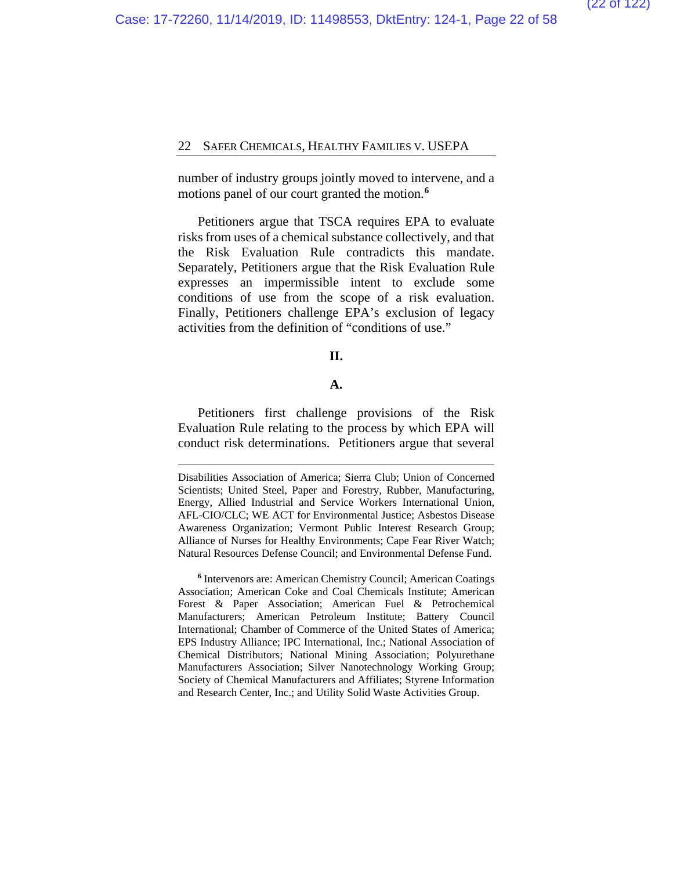number of industry groups jointly moved to intervene, and a motions panel of our court granted the motion.**[6](#page-57-0)**

Petitioners argue that TSCA requires EPA to evaluate risks from uses of a chemical substance collectively, and that the Risk Evaluation Rule contradicts this mandate. Separately, Petitioners argue that the Risk Evaluation Rule expresses an impermissible intent to exclude some conditions of use from the scope of a risk evaluation. Finally, Petitioners challenge EPA's exclusion of legacy activities from the definition of "conditions of use."

## **II.**

#### **A.**

Petitioners first challenge provisions of the Risk Evaluation Rule relating to the process by which EPA will conduct risk determinations. Petitioners argue that several

Disabilities Association of America; Sierra Club; Union of Concerned Scientists; United Steel, Paper and Forestry, Rubber, Manufacturing, Energy, Allied Industrial and Service Workers International Union, AFL-CIO/CLC; WE ACT for Environmental Justice; Asbestos Disease Awareness Organization; Vermont Public Interest Research Group; Alliance of Nurses for Healthy Environments; Cape Fear River Watch; Natural Resources Defense Council; and Environmental Defense Fund.

**<sup>6</sup>** Intervenors are: American Chemistry Council; American Coatings Association; American Coke and Coal Chemicals Institute; American Forest & Paper Association; American Fuel & Petrochemical Manufacturers; American Petroleum Institute; Battery Council International; Chamber of Commerce of the United States of America; EPS Industry Alliance; IPC International, Inc.; National Association of Chemical Distributors; National Mining Association; Polyurethane Manufacturers Association; Silver Nanotechnology Working Group; Society of Chemical Manufacturers and Affiliates; Styrene Information and Research Center, Inc.; and Utility Solid Waste Activities Group.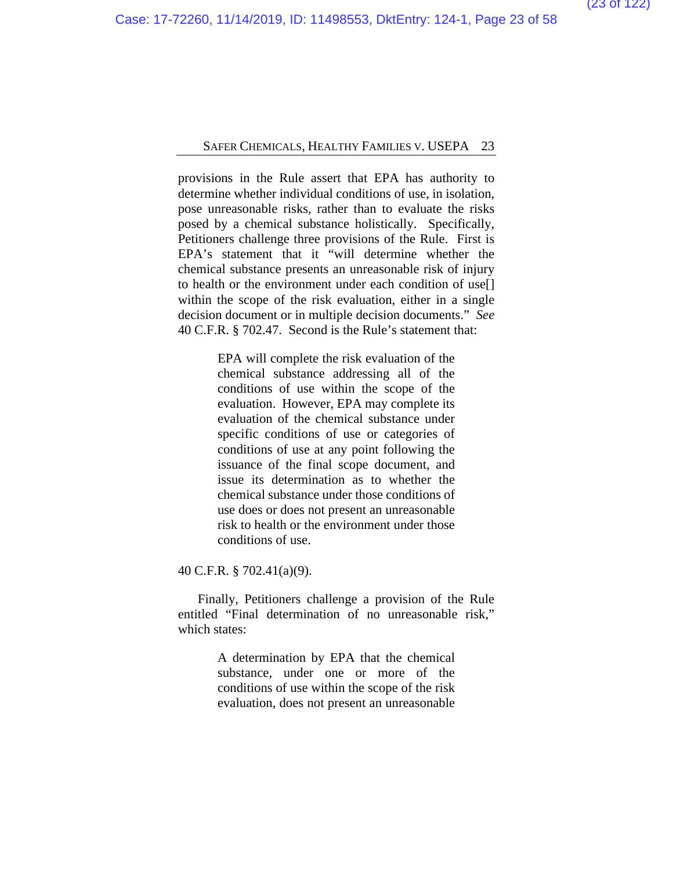provisions in the Rule assert that EPA has authority to determine whether individual conditions of use, in isolation, pose unreasonable risks, rather than to evaluate the risks posed by a chemical substance holistically. Specifically, Petitioners challenge three provisions of the Rule. First is EPA's statement that it "will determine whether the chemical substance presents an unreasonable risk of injury to health or the environment under each condition of use[] within the scope of the risk evaluation, either in a single decision document or in multiple decision documents." *See*  40 C.F.R. § 702.47. Second is the Rule's statement that:

> EPA will complete the risk evaluation of the chemical substance addressing all of the conditions of use within the scope of the evaluation. However, EPA may complete its evaluation of the chemical substance under specific conditions of use or categories of conditions of use at any point following the issuance of the final scope document, and issue its determination as to whether the chemical substance under those conditions of use does or does not present an unreasonable risk to health or the environment under those conditions of use.

40 C.F.R. § 702.41(a)(9).

Finally, Petitioners challenge a provision of the Rule entitled "Final determination of no unreasonable risk," which states:

> A determination by EPA that the chemical substance, under one or more of the conditions of use within the scope of the risk evaluation, does not present an unreasonable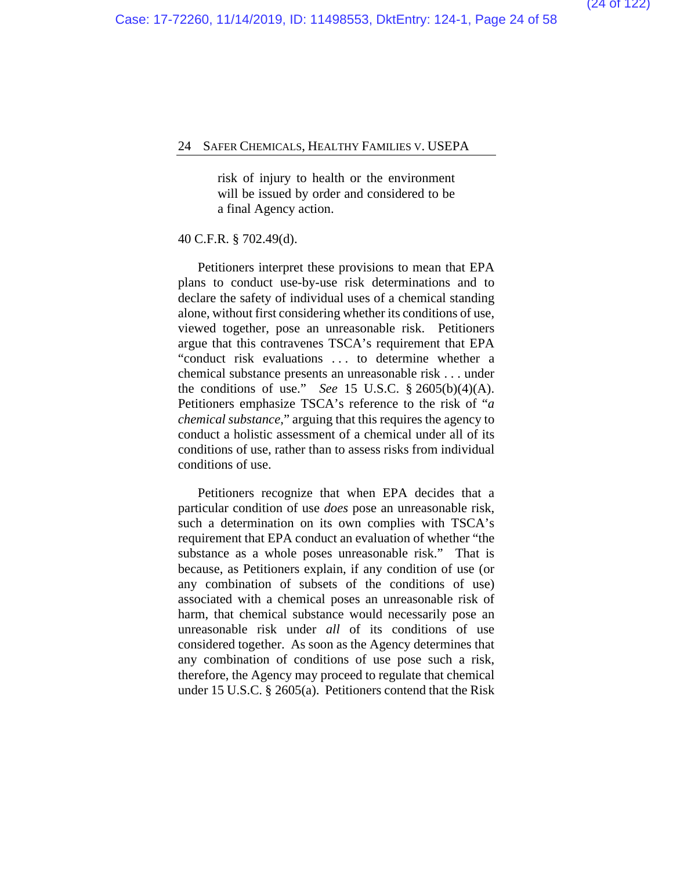risk of injury to health or the environment will be issued by order and considered to be a final Agency action.

#### 40 C.F.R. § 702.49(d).

Petitioners interpret these provisions to mean that EPA plans to conduct use-by-use risk determinations and to declare the safety of individual uses of a chemical standing alone, without first considering whether its conditions of use, viewed together, pose an unreasonable risk. Petitioners argue that this contravenes TSCA's requirement that EPA "conduct risk evaluations . . . to determine whether a chemical substance presents an unreasonable risk . . . under the conditions of use." *See* 15 U.S.C. § 2605(b)(4)(A). Petitioners emphasize TSCA's reference to the risk of "*a chemical substance*," arguing that this requires the agency to conduct a holistic assessment of a chemical under all of its conditions of use, rather than to assess risks from individual conditions of use.

Petitioners recognize that when EPA decides that a particular condition of use *does* pose an unreasonable risk, such a determination on its own complies with TSCA's requirement that EPA conduct an evaluation of whether "the substance as a whole poses unreasonable risk." That is because, as Petitioners explain, if any condition of use (or any combination of subsets of the conditions of use) associated with a chemical poses an unreasonable risk of harm, that chemical substance would necessarily pose an unreasonable risk under *all* of its conditions of use considered together. As soon as the Agency determines that any combination of conditions of use pose such a risk, therefore, the Agency may proceed to regulate that chemical under 15 U.S.C. § 2605(a). Petitioners contend that the Risk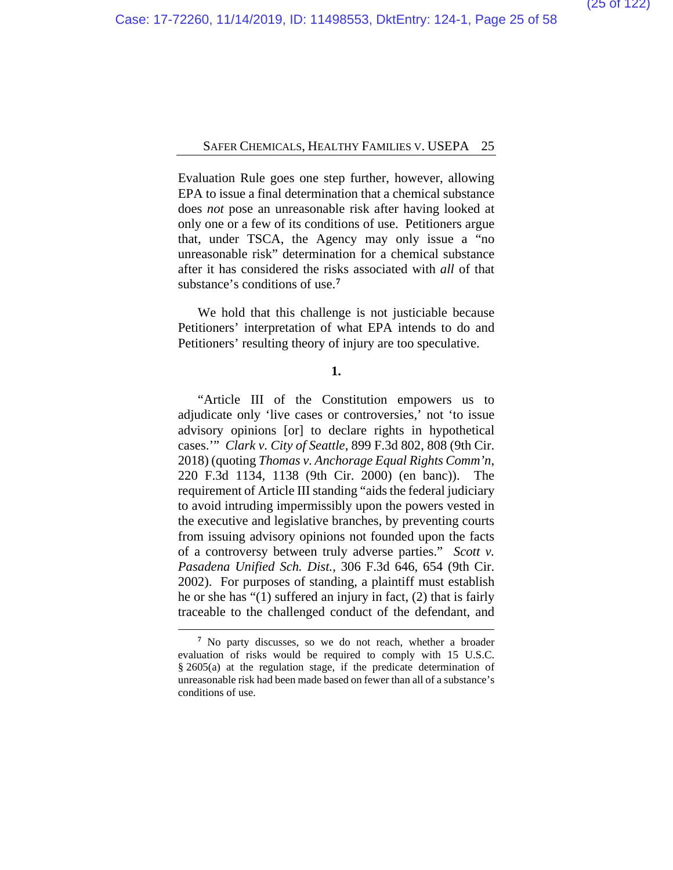Evaluation Rule goes one step further, however, allowing EPA to issue a final determination that a chemical substance does *not* pose an unreasonable risk after having looked at only one or a few of its conditions of use. Petitioners argue that, under TSCA, the Agency may only issue a "no unreasonable risk" determination for a chemical substance after it has considered the risks associated with *all* of that substance's conditions of use.**[7](#page-57-0)**

We hold that this challenge is not justiciable because Petitioners' interpretation of what EPA intends to do and Petitioners' resulting theory of injury are too speculative.

### **1.**

"Article III of the Constitution empowers us to adjudicate only 'live cases or controversies,' not 'to issue advisory opinions [or] to declare rights in hypothetical cases.'" *Clark v. City of Seattle*, 899 F.3d 802, 808 (9th Cir. 2018) (quoting *Thomas v. Anchorage Equal Rights Comm'n*, 220 F.3d 1134, 1138 (9th Cir. 2000) (en banc)). The requirement of Article III standing "aids the federal judiciary to avoid intruding impermissibly upon the powers vested in the executive and legislative branches, by preventing courts from issuing advisory opinions not founded upon the facts of a controversy between truly adverse parties." *Scott v. Pasadena Unified Sch. Dist.*, 306 F.3d 646, 654 (9th Cir. 2002). For purposes of standing, a plaintiff must establish he or she has "(1) suffered an injury in fact, (2) that is fairly traceable to the challenged conduct of the defendant, and

**<sup>7</sup>** No party discusses, so we do not reach, whether a broader evaluation of risks would be required to comply with 15 U.S.C. § 2605(a) at the regulation stage, if the predicate determination of unreasonable risk had been made based on fewer than all of a substance's conditions of use.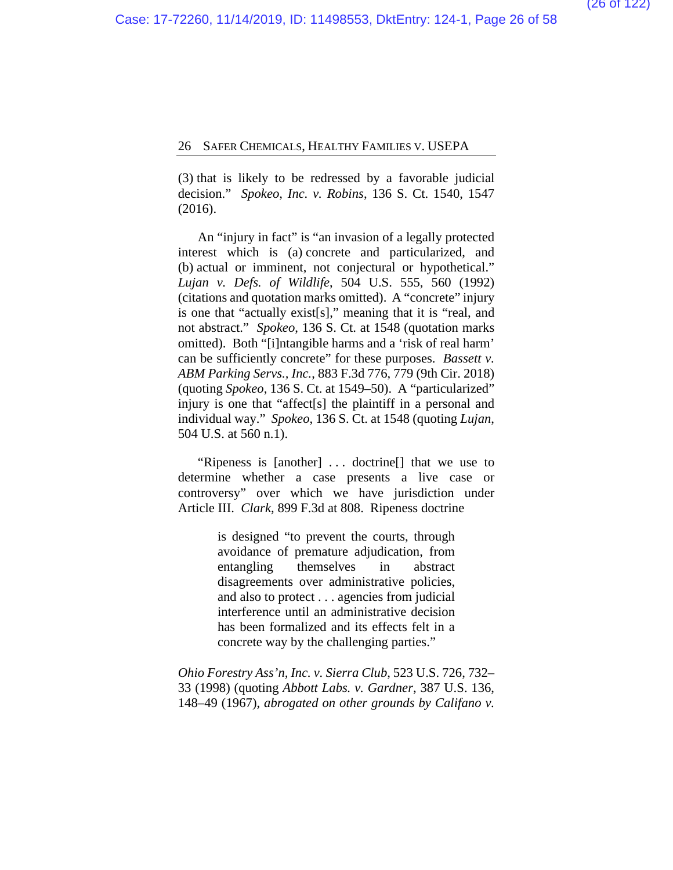(3) that is likely to be redressed by a favorable judicial decision." *Spokeo, Inc. v. Robins*, 136 S. Ct. 1540, 1547 (2016).

An "injury in fact" is "an invasion of a legally protected interest which is (a) concrete and particularized, and (b) actual or imminent, not conjectural or hypothetical." *Lujan v. Defs. of Wildlife*, 504 U.S. 555, 560 (1992) (citations and quotation marks omitted). A "concrete" injury is one that "actually exist[s]," meaning that it is "real, and not abstract." *Spokeo*, 136 S. Ct. at 1548 (quotation marks omitted). Both "[i]ntangible harms and a 'risk of real harm' can be sufficiently concrete" for these purposes. *Bassett v. ABM Parking Servs., Inc.*, 883 F.3d 776, 779 (9th Cir. 2018) (quoting *Spokeo*, 136 S. Ct. at 1549–50). A "particularized" injury is one that "affect[s] the plaintiff in a personal and individual way." *Spokeo*, 136 S. Ct. at 1548 (quoting *Lujan*, 504 U.S. at 560 n.1).

"Ripeness is [another] . . . doctrine[] that we use to determine whether a case presents a live case or controversy" over which we have jurisdiction under Article III. *Clark*, 899 F.3d at 808. Ripeness doctrine

> is designed "to prevent the courts, through avoidance of premature adjudication, from entangling themselves in abstract disagreements over administrative policies, and also to protect . . . agencies from judicial interference until an administrative decision has been formalized and its effects felt in a concrete way by the challenging parties."

*Ohio Forestry Ass'n, Inc. v. Sierra Club*, 523 U.S. 726, 732– 33 (1998) (quoting *Abbott Labs. v. Gardner*, 387 U.S. 136, 148–49 (1967), *abrogated on other grounds by Califano v.*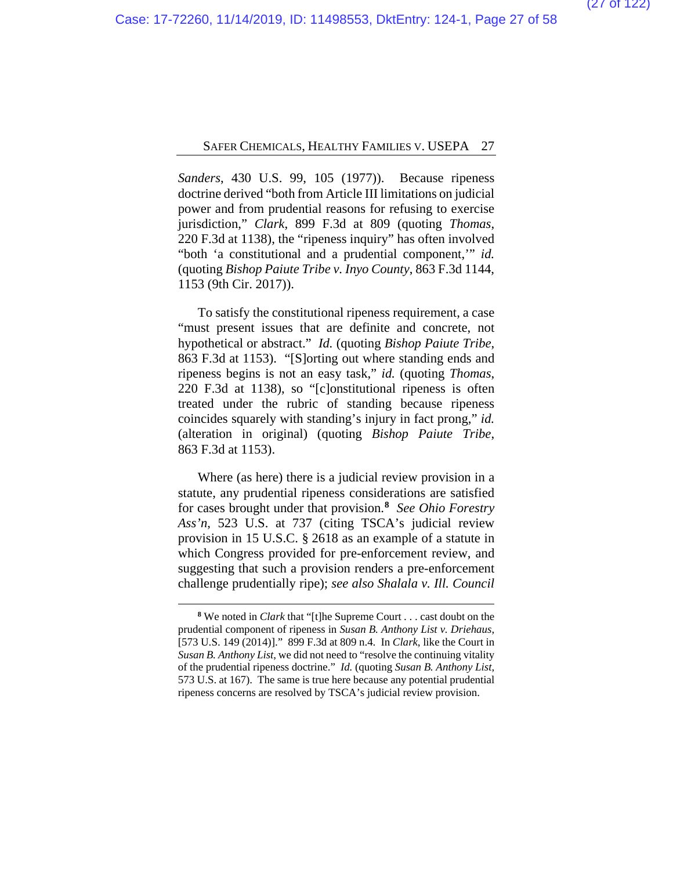*Sanders*, 430 U.S. 99, 105 (1977)). Because ripeness doctrine derived "both from Article III limitations on judicial power and from prudential reasons for refusing to exercise jurisdiction," *Clark*, 899 F.3d at 809 (quoting *Thomas*, 220 F.3d at 1138), the "ripeness inquiry" has often involved "both 'a constitutional and a prudential component,'" *id.* (quoting *Bishop Paiute Tribe v. Inyo County*, 863 F.3d 1144, 1153 (9th Cir. 2017)).

To satisfy the constitutional ripeness requirement, a case "must present issues that are definite and concrete, not hypothetical or abstract." *Id.* (quoting *Bishop Paiute Tribe*, 863 F.3d at 1153). "[S]orting out where standing ends and ripeness begins is not an easy task," *id.* (quoting *Thomas*, 220 F.3d at 1138), so "[c]onstitutional ripeness is often treated under the rubric of standing because ripeness coincides squarely with standing's injury in fact prong," *id.* (alteration in original) (quoting *Bishop Paiute Tribe*, 863 F.3d at 1153).

Where (as here) there is a judicial review provision in a statute, any prudential ripeness considerations are satisfied for cases brought under that provision.**[8](#page-57-0)** *See Ohio Forestry Ass'n*, 523 U.S. at 737 (citing TSCA's judicial review provision in 15 U.S.C. § 2618 as an example of a statute in which Congress provided for pre-enforcement review, and suggesting that such a provision renders a pre-enforcement challenge prudentially ripe); *see also Shalala v. Ill. Council* 

**<sup>8</sup>** We noted in *Clark* that "[t]he Supreme Court . . . cast doubt on the prudential component of ripeness in *Susan B. Anthony List v. Driehaus*, [573 U.S. 149 (2014)]." 899 F.3d at 809 n.4. In *Clark*, like the Court in *Susan B. Anthony List*, we did not need to "resolve the continuing vitality of the prudential ripeness doctrine." *Id.* (quoting *Susan B. Anthony List*, 573 U.S. at 167). The same is true here because any potential prudential ripeness concerns are resolved by TSCA's judicial review provision.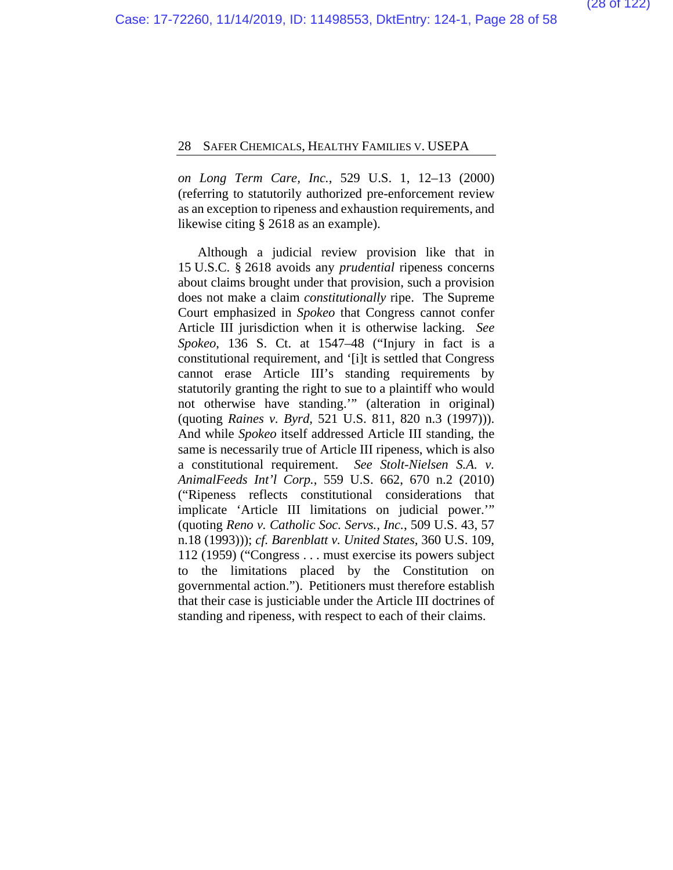*on Long Term Care, Inc.*, 529 U.S. 1, 12–13 (2000) (referring to statutorily authorized pre-enforcement review as an exception to ripeness and exhaustion requirements, and likewise citing § 2618 as an example).

Although a judicial review provision like that in 15 U.S.C. § 2618 avoids any *prudential* ripeness concerns about claims brought under that provision, such a provision does not make a claim *constitutionally* ripe. The Supreme Court emphasized in *Spokeo* that Congress cannot confer Article III jurisdiction when it is otherwise lacking. *See Spokeo*, 136 S. Ct. at 1547–48 ("Injury in fact is a constitutional requirement, and '[i]t is settled that Congress cannot erase Article III's standing requirements by statutorily granting the right to sue to a plaintiff who would not otherwise have standing.'" (alteration in original) (quoting *Raines v. Byrd*, 521 U.S. 811, 820 n.3 (1997))). And while *Spokeo* itself addressed Article III standing, the same is necessarily true of Article III ripeness, which is also a constitutional requirement. *See Stolt-Nielsen S.A. v. AnimalFeeds Int'l Corp.*, 559 U.S. 662, 670 n.2 (2010) ("Ripeness reflects constitutional considerations that implicate 'Article III limitations on judicial power.'" (quoting *Reno v. Catholic Soc. Servs., Inc.*, 509 U.S. 43, 57 n.18 (1993))); *cf. Barenblatt v. United States*, 360 U.S. 109, 112 (1959) ("Congress . . . must exercise its powers subject to the limitations placed by the Constitution on governmental action."). Petitioners must therefore establish that their case is justiciable under the Article III doctrines of standing and ripeness, with respect to each of their claims.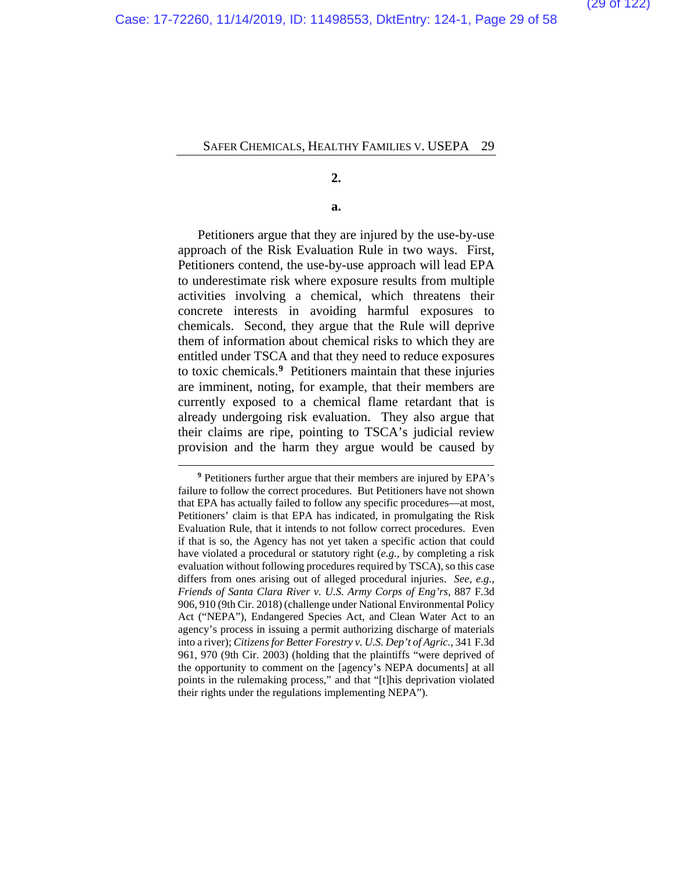**2.**

**a.**

Petitioners argue that they are injured by the use-by-use approach of the Risk Evaluation Rule in two ways. First, Petitioners contend, the use-by-use approach will lead EPA to underestimate risk where exposure results from multiple activities involving a chemical, which threatens their concrete interests in avoiding harmful exposures to chemicals. Second, they argue that the Rule will deprive them of information about chemical risks to which they are entitled under TSCA and that they need to reduce exposures to toxic chemicals.**[9](#page-57-0)** Petitioners maintain that these injuries are imminent, noting, for example, that their members are currently exposed to a chemical flame retardant that is already undergoing risk evaluation. They also argue that their claims are ripe, pointing to TSCA's judicial review provision and the harm they argue would be caused by

**<sup>9</sup>** Petitioners further argue that their members are injured by EPA's failure to follow the correct procedures. But Petitioners have not shown that EPA has actually failed to follow any specific procedures—at most, Petitioners' claim is that EPA has indicated, in promulgating the Risk Evaluation Rule, that it intends to not follow correct procedures. Even if that is so, the Agency has not yet taken a specific action that could have violated a procedural or statutory right (*e.g.*, by completing a risk evaluation without following procedures required by TSCA), so this case differs from ones arising out of alleged procedural injuries. *See, e.g.*, *Friends of Santa Clara River v. U.S. Army Corps of Eng'rs*, 887 F.3d 906, 910 (9th Cir. 2018) (challenge under National Environmental Policy Act ("NEPA"), Endangered Species Act, and Clean Water Act to an agency's process in issuing a permit authorizing discharge of materials into a river); *Citizens for Better Forestry v. U.S. Dep't of Agric.*, 341 F.3d 961, 970 (9th Cir. 2003) (holding that the plaintiffs "were deprived of the opportunity to comment on the [agency's NEPA documents] at all points in the rulemaking process," and that "[t]his deprivation violated their rights under the regulations implementing NEPA").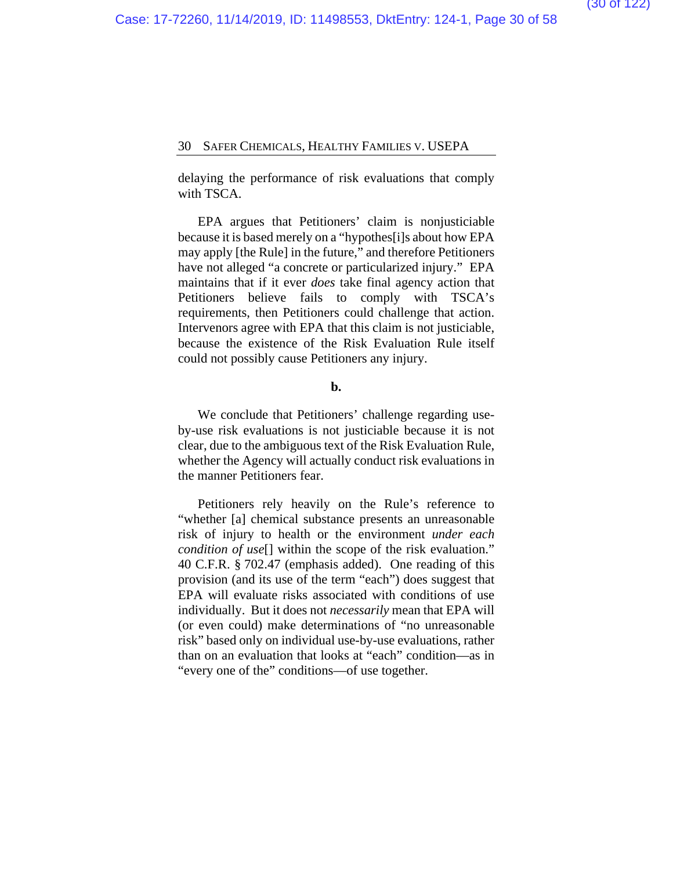delaying the performance of risk evaluations that comply with TSCA.

EPA argues that Petitioners' claim is nonjusticiable because it is based merely on a "hypothes[i]s about how EPA may apply [the Rule] in the future," and therefore Petitioners have not alleged "a concrete or particularized injury." EPA maintains that if it ever *does* take final agency action that Petitioners believe fails to comply with TSCA's requirements, then Petitioners could challenge that action. Intervenors agree with EPA that this claim is not justiciable, because the existence of the Risk Evaluation Rule itself could not possibly cause Petitioners any injury.

## **b.**

We conclude that Petitioners' challenge regarding useby-use risk evaluations is not justiciable because it is not clear, due to the ambiguous text of the Risk Evaluation Rule, whether the Agency will actually conduct risk evaluations in the manner Petitioners fear.

Petitioners rely heavily on the Rule's reference to "whether [a] chemical substance presents an unreasonable risk of injury to health or the environment *under each condition of use*[] within the scope of the risk evaluation." 40 C.F.R. § 702.47 (emphasis added). One reading of this provision (and its use of the term "each") does suggest that EPA will evaluate risks associated with conditions of use individually. But it does not *necessarily* mean that EPA will (or even could) make determinations of "no unreasonable risk" based only on individual use-by-use evaluations, rather than on an evaluation that looks at "each" condition—as in "every one of the" conditions—of use together.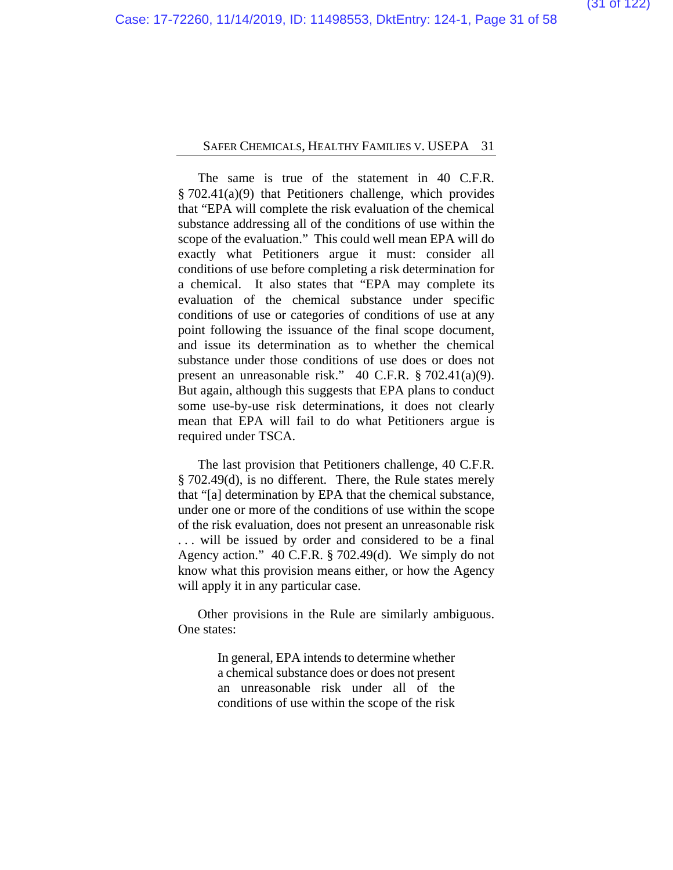The same is true of the statement in 40 C.F.R. § 702.41(a)(9) that Petitioners challenge, which provides that "EPA will complete the risk evaluation of the chemical substance addressing all of the conditions of use within the scope of the evaluation." This could well mean EPA will do exactly what Petitioners argue it must: consider all conditions of use before completing a risk determination for a chemical. It also states that "EPA may complete its evaluation of the chemical substance under specific conditions of use or categories of conditions of use at any point following the issuance of the final scope document, and issue its determination as to whether the chemical substance under those conditions of use does or does not present an unreasonable risk." 40 C.F.R. § 702.41(a)(9). But again, although this suggests that EPA plans to conduct some use-by-use risk determinations, it does not clearly mean that EPA will fail to do what Petitioners argue is required under TSCA.

The last provision that Petitioners challenge, 40 C.F.R. § 702.49(d), is no different. There, the Rule states merely that "[a] determination by EPA that the chemical substance, under one or more of the conditions of use within the scope of the risk evaluation, does not present an unreasonable risk . . . will be issued by order and considered to be a final Agency action." 40 C.F.R. § 702.49(d). We simply do not know what this provision means either, or how the Agency will apply it in any particular case.

Other provisions in the Rule are similarly ambiguous. One states:

> In general, EPA intends to determine whether a chemical substance does or does not present an unreasonable risk under all of the conditions of use within the scope of the risk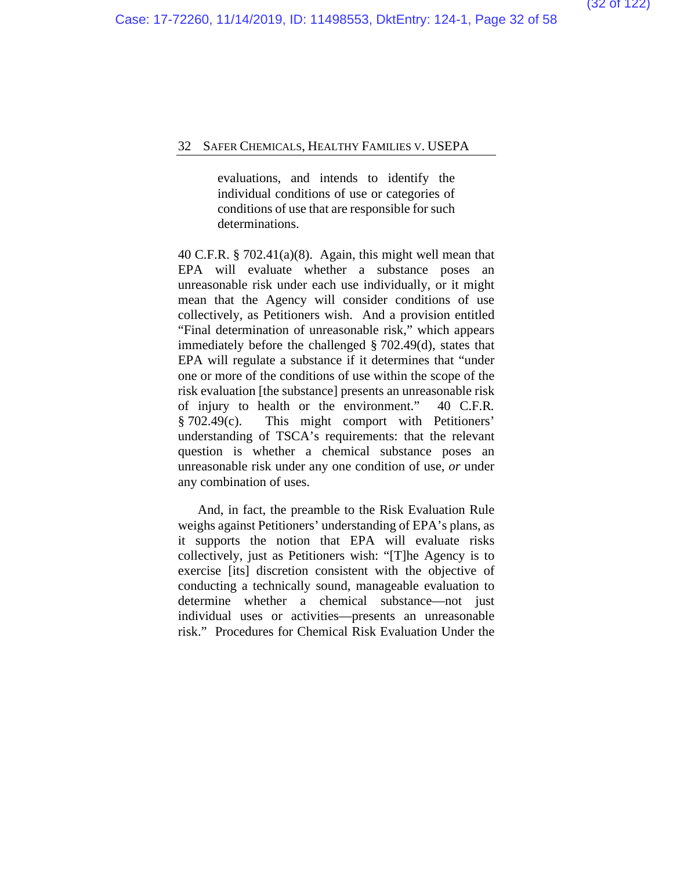evaluations, and intends to identify the individual conditions of use or categories of conditions of use that are responsible for such determinations.

40 C.F.R. § 702.41(a)(8). Again, this might well mean that EPA will evaluate whether a substance poses an unreasonable risk under each use individually, or it might mean that the Agency will consider conditions of use collectively, as Petitioners wish. And a provision entitled "Final determination of unreasonable risk," which appears immediately before the challenged § 702.49(d), states that EPA will regulate a substance if it determines that "under one or more of the conditions of use within the scope of the risk evaluation [the substance] presents an unreasonable risk of injury to health or the environment." 40 C.F.R*.* § 702.49(c). This might comport with Petitioners' understanding of TSCA's requirements: that the relevant question is whether a chemical substance poses an unreasonable risk under any one condition of use, *or* under any combination of uses.

And, in fact, the preamble to the Risk Evaluation Rule weighs against Petitioners' understanding of EPA's plans, as it supports the notion that EPA will evaluate risks collectively, just as Petitioners wish: "[T]he Agency is to exercise [its] discretion consistent with the objective of conducting a technically sound, manageable evaluation to determine whether a chemical substance—not just individual uses or activities—presents an unreasonable risk." Procedures for Chemical Risk Evaluation Under the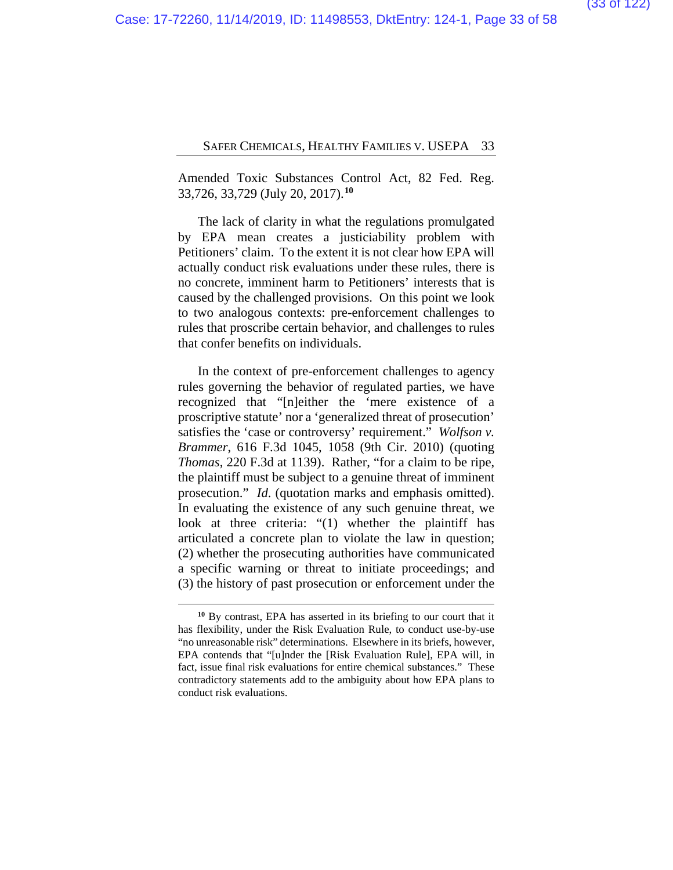Amended Toxic Substances Control Act, 82 Fed. Reg. 33,726, 33,729 (July 20, 2017).**[10](#page-57-0)**

The lack of clarity in what the regulations promulgated by EPA mean creates a justiciability problem with Petitioners' claim. To the extent it is not clear how EPA will actually conduct risk evaluations under these rules, there is no concrete, imminent harm to Petitioners' interests that is caused by the challenged provisions. On this point we look to two analogous contexts: pre-enforcement challenges to rules that proscribe certain behavior, and challenges to rules that confer benefits on individuals.

In the context of pre-enforcement challenges to agency rules governing the behavior of regulated parties, we have recognized that "[n]either the 'mere existence of a proscriptive statute' nor a 'generalized threat of prosecution' satisfies the 'case or controversy' requirement." *Wolfson v. Brammer*, 616 F.3d 1045, 1058 (9th Cir. 2010) (quoting *Thomas*, 220 F.3d at 1139). Rather, "for a claim to be ripe, the plaintiff must be subject to a genuine threat of imminent prosecution." *Id*. (quotation marks and emphasis omitted). In evaluating the existence of any such genuine threat, we look at three criteria: "(1) whether the plaintiff has articulated a concrete plan to violate the law in question; (2) whether the prosecuting authorities have communicated a specific warning or threat to initiate proceedings; and (3) the history of past prosecution or enforcement under the

**<sup>10</sup>** By contrast, EPA has asserted in its briefing to our court that it has flexibility, under the Risk Evaluation Rule, to conduct use-by-use "no unreasonable risk" determinations. Elsewhere in its briefs, however, EPA contends that "[u]nder the [Risk Evaluation Rule], EPA will, in fact, issue final risk evaluations for entire chemical substances." These contradictory statements add to the ambiguity about how EPA plans to conduct risk evaluations.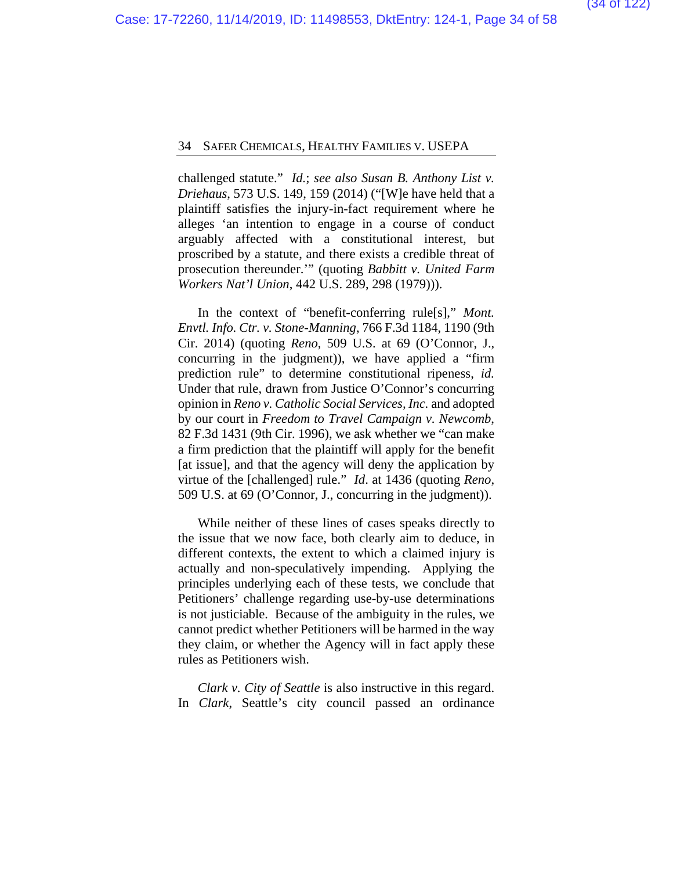challenged statute." *Id.*; *see also Susan B. Anthony List v. Driehaus*, 573 U.S. 149, 159 (2014) ("[W]e have held that a plaintiff satisfies the injury-in-fact requirement where he alleges 'an intention to engage in a course of conduct arguably affected with a constitutional interest, but proscribed by a statute, and there exists a credible threat of prosecution thereunder.'" (quoting *Babbitt v. United Farm Workers Nat'l Union*, 442 U.S. 289, 298 (1979))).

In the context of "benefit-conferring rule[s]," *Mont. Envtl. Info. Ctr. v. Stone-Manning*, 766 F.3d 1184, 1190 (9th Cir. 2014) (quoting *Reno*, 509 U.S. at 69 (O'Connor, J., concurring in the judgment)), we have applied a "firm prediction rule" to determine constitutional ripeness, *id.* Under that rule, drawn from Justice O'Connor's concurring opinion in *Reno v. Catholic Social Services, Inc.* and adopted by our court in *Freedom to Travel Campaign v. Newcomb*, 82 F.3d 1431 (9th Cir. 1996), we ask whether we "can make a firm prediction that the plaintiff will apply for the benefit [at issue], and that the agency will deny the application by virtue of the [challenged] rule." *Id*. at 1436 (quoting *Reno*, 509 U.S. at 69 (O'Connor, J., concurring in the judgment)).

While neither of these lines of cases speaks directly to the issue that we now face, both clearly aim to deduce, in different contexts, the extent to which a claimed injury is actually and non-speculatively impending. Applying the principles underlying each of these tests, we conclude that Petitioners' challenge regarding use-by-use determinations is not justiciable. Because of the ambiguity in the rules, we cannot predict whether Petitioners will be harmed in the way they claim, or whether the Agency will in fact apply these rules as Petitioners wish.

*Clark v. City of Seattle* is also instructive in this regard. In *Clark*, Seattle's city council passed an ordinance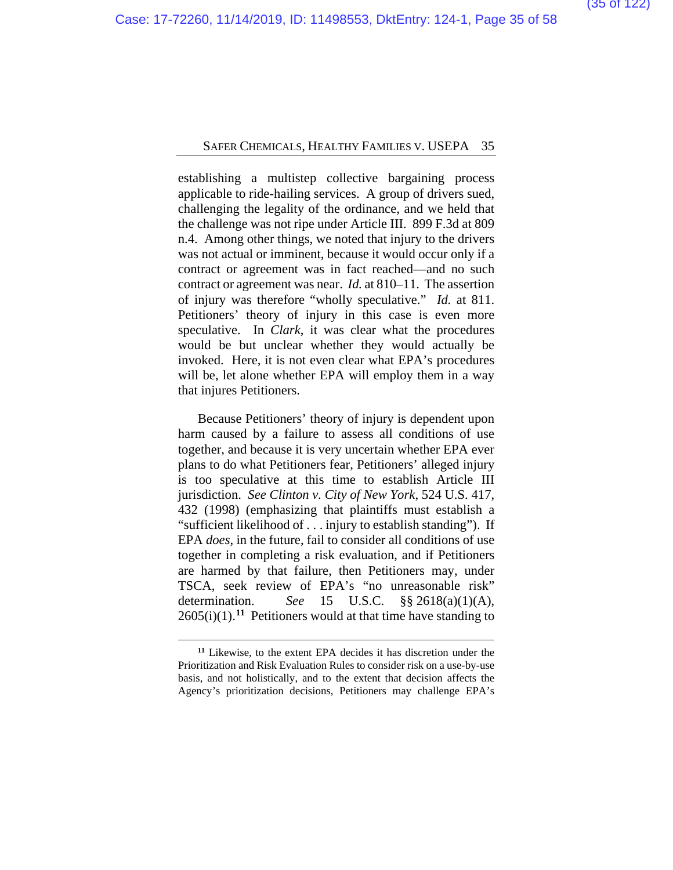establishing a multistep collective bargaining process applicable to ride-hailing services. A group of drivers sued, challenging the legality of the ordinance, and we held that the challenge was not ripe under Article III. 899 F.3d at 809 n.4. Among other things, we noted that injury to the drivers was not actual or imminent, because it would occur only if a contract or agreement was in fact reached—and no such contract or agreement was near. *Id.* at 810–11. The assertion of injury was therefore "wholly speculative." *Id.* at 811. Petitioners' theory of injury in this case is even more speculative. In *Clark*, it was clear what the procedures would be but unclear whether they would actually be invoked. Here, it is not even clear what EPA's procedures will be, let alone whether EPA will employ them in a way that injures Petitioners.

Because Petitioners' theory of injury is dependent upon harm caused by a failure to assess all conditions of use together, and because it is very uncertain whether EPA ever plans to do what Petitioners fear, Petitioners' alleged injury is too speculative at this time to establish Article III jurisdiction. *See Clinton v. City of New York*, 524 U.S. 417, 432 (1998) (emphasizing that plaintiffs must establish a "sufficient likelihood of . . . injury to establish standing"). If EPA *does*, in the future, fail to consider all conditions of use together in completing a risk evaluation, and if Petitioners are harmed by that failure, then Petitioners may, under TSCA, seek review of EPA's "no unreasonable risk" determination. *See* 15 U.S.C. §§ 2618(a)(1)(A),  $2605(i)(1)$ .<sup>[11](#page-57-0)</sup> Petitioners would at that time have standing to

**<sup>11</sup>** Likewise, to the extent EPA decides it has discretion under the Prioritization and Risk Evaluation Rules to consider risk on a use-by-use basis, and not holistically, and to the extent that decision affects the Agency's prioritization decisions, Petitioners may challenge EPA's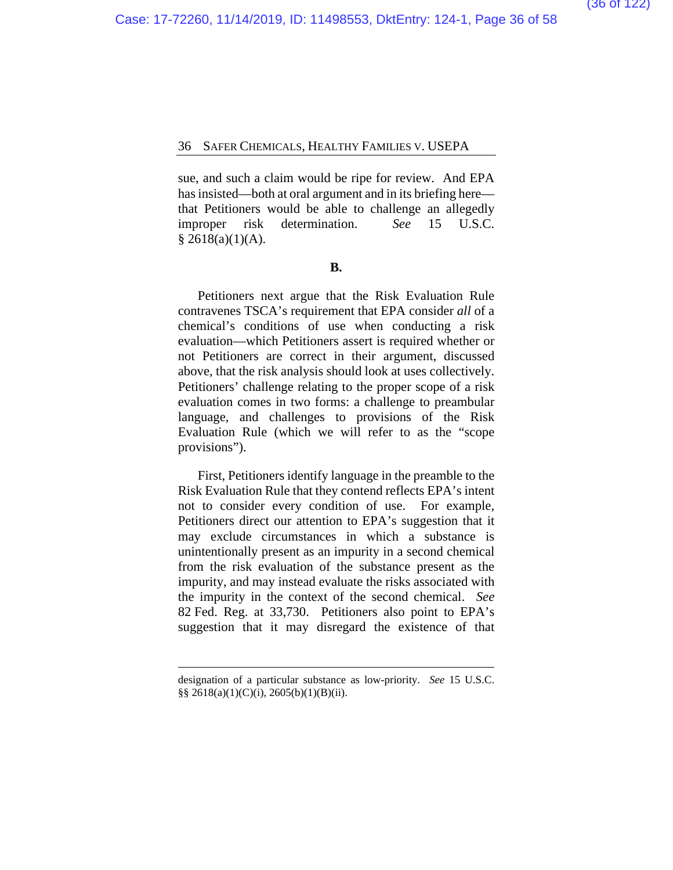sue, and such a claim would be ripe for review. And EPA has insisted—both at oral argument and in its briefing here that Petitioners would be able to challenge an allegedly improper risk determination. *See* 15 U.S.C.  $§$  2618(a)(1)(A).

#### **B.**

Petitioners next argue that the Risk Evaluation Rule contravenes TSCA's requirement that EPA consider *all* of a chemical's conditions of use when conducting a risk evaluation—which Petitioners assert is required whether or not Petitioners are correct in their argument, discussed above, that the risk analysis should look at uses collectively. Petitioners' challenge relating to the proper scope of a risk evaluation comes in two forms: a challenge to preambular language, and challenges to provisions of the Risk Evaluation Rule (which we will refer to as the "scope provisions").

First, Petitioners identify language in the preamble to the Risk Evaluation Rule that they contend reflects EPA's intent not to consider every condition of use. For example, Petitioners direct our attention to EPA's suggestion that it may exclude circumstances in which a substance is unintentionally present as an impurity in a second chemical from the risk evaluation of the substance present as the impurity, and may instead evaluate the risks associated with the impurity in the context of the second chemical. *See*  82 Fed. Reg. at 33,730. Petitioners also point to EPA's suggestion that it may disregard the existence of that

designation of a particular substance as low-priority. *See* 15 U.S.C. §§ 2618(a)(1)(C)(i), 2605(b)(1)(B)(ii).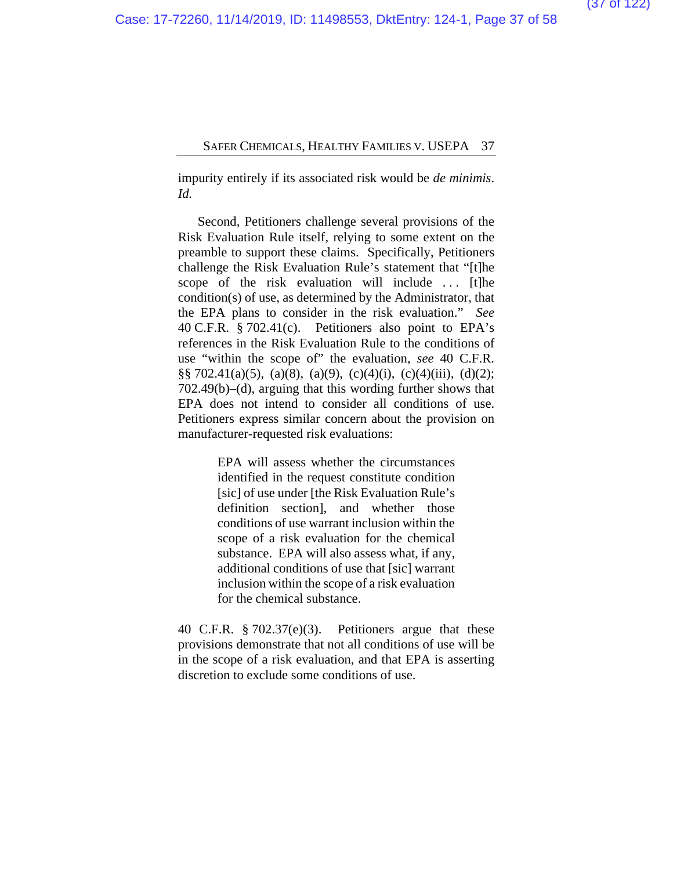impurity entirely if its associated risk would be *de minimis*. *Id.*

Second, Petitioners challenge several provisions of the Risk Evaluation Rule itself, relying to some extent on the preamble to support these claims. Specifically, Petitioners challenge the Risk Evaluation Rule's statement that "[t]he scope of the risk evaluation will include ... [t]he condition(s) of use, as determined by the Administrator, that the EPA plans to consider in the risk evaluation." *See*  40 C.F.R. § 702.41(c). Petitioners also point to EPA's references in the Risk Evaluation Rule to the conditions of use "within the scope of" the evaluation, *see* 40 C.F.R.  $\S\S 702.41(a)(5)$ , (a)(8), (a)(9), (c)(4)(i), (c)(4)(iii), (d)(2); 702.49(b)–(d), arguing that this wording further shows that EPA does not intend to consider all conditions of use. Petitioners express similar concern about the provision on manufacturer-requested risk evaluations:

> EPA will assess whether the circumstances identified in the request constitute condition [sic] of use under [the Risk Evaluation Rule's definition section], and whether those conditions of use warrant inclusion within the scope of a risk evaluation for the chemical substance. EPA will also assess what, if any, additional conditions of use that [sic] warrant inclusion within the scope of a risk evaluation for the chemical substance.

40 C.F.R. § 702.37(e)(3). Petitioners argue that these provisions demonstrate that not all conditions of use will be in the scope of a risk evaluation, and that EPA is asserting discretion to exclude some conditions of use.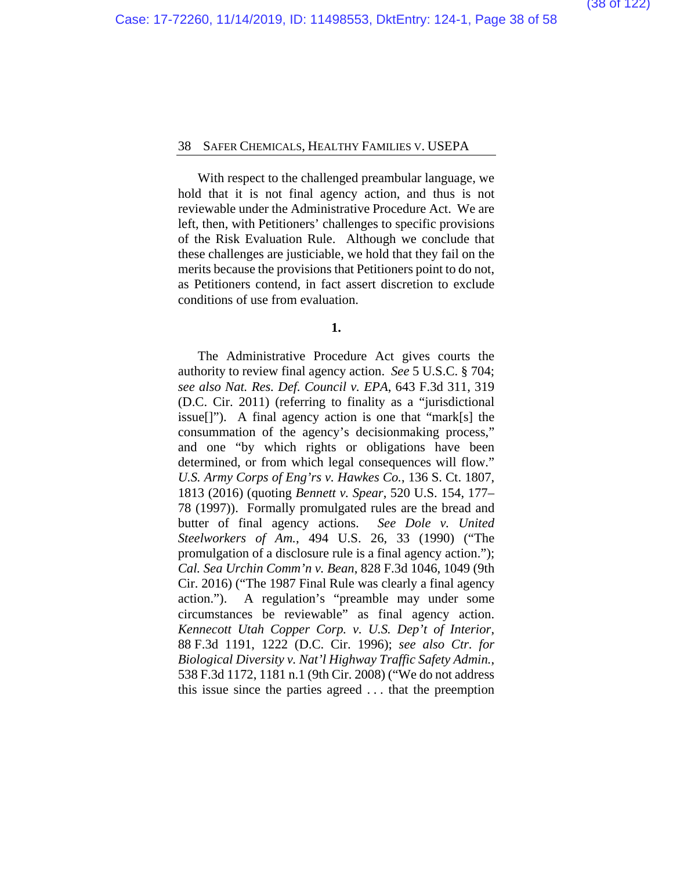With respect to the challenged preambular language, we hold that it is not final agency action, and thus is not reviewable under the Administrative Procedure Act. We are left, then, with Petitioners' challenges to specific provisions of the Risk Evaluation Rule. Although we conclude that these challenges are justiciable, we hold that they fail on the merits because the provisions that Petitioners point to do not, as Petitioners contend, in fact assert discretion to exclude conditions of use from evaluation.

**1.**

The Administrative Procedure Act gives courts the authority to review final agency action. *See* 5 U.S.C. § 704; *see also Nat. Res. Def. Council v. EPA*, 643 F.3d 311, 319 (D.C. Cir. 2011) (referring to finality as a "jurisdictional issue[]"). A final agency action is one that "mark[s] the consummation of the agency's decisionmaking process," and one "by which rights or obligations have been determined, or from which legal consequences will flow." *U.S. Army Corps of Eng'rs v. Hawkes Co.*, 136 S. Ct. 1807, 1813 (2016) (quoting *Bennett v. Spear*, 520 U.S. 154, 177– 78 (1997)). Formally promulgated rules are the bread and butter of final agency actions. *See Dole v. United Steelworkers of Am.*, 494 U.S. 26, 33 (1990) ("The promulgation of a disclosure rule is a final agency action."); *Cal. Sea Urchin Comm'n v. Bean*, 828 F.3d 1046, 1049 (9th Cir. 2016) ("The 1987 Final Rule was clearly a final agency action."). A regulation's "preamble may under some circumstances be reviewable" as final agency action. *Kennecott Utah Copper Corp. v. U.S. Dep't of Interior*, 88 F.3d 1191, 1222 (D.C. Cir. 1996); *see also Ctr. for Biological Diversity v. Nat'l Highway Traffic Safety Admin.*, 538 F.3d 1172, 1181 n.1 (9th Cir. 2008) ("We do not address this issue since the parties agreed . . . that the preemption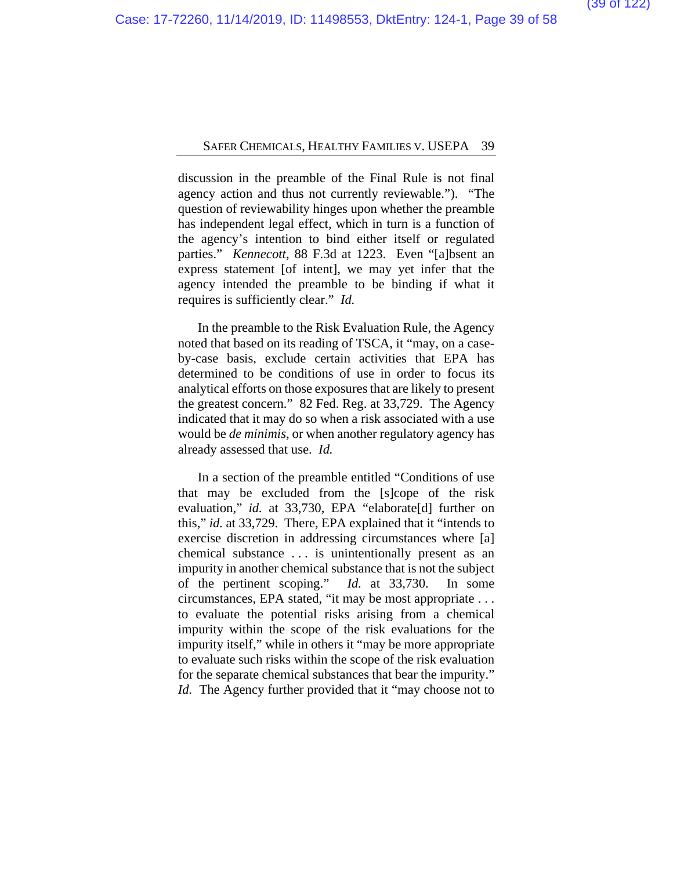discussion in the preamble of the Final Rule is not final agency action and thus not currently reviewable."). "The question of reviewability hinges upon whether the preamble has independent legal effect, which in turn is a function of the agency's intention to bind either itself or regulated parties." *Kennecott*, 88 F.3d at 1223. Even "[a]bsent an express statement [of intent], we may yet infer that the agency intended the preamble to be binding if what it requires is sufficiently clear." *Id.*

In the preamble to the Risk Evaluation Rule, the Agency noted that based on its reading of TSCA, it "may, on a caseby-case basis, exclude certain activities that EPA has determined to be conditions of use in order to focus its analytical efforts on those exposures that are likely to present the greatest concern." 82 Fed. Reg. at 33,729. The Agency indicated that it may do so when a risk associated with a use would be *de minimis*, or when another regulatory agency has already assessed that use. *Id.*

In a section of the preamble entitled "Conditions of use that may be excluded from the [s]cope of the risk evaluation," *id.* at 33,730, EPA "elaborate[d] further on this," *id.* at 33,729. There, EPA explained that it "intends to exercise discretion in addressing circumstances where [a] chemical substance . . . is unintentionally present as an impurity in another chemical substance that is not the subject of the pertinent scoping." *Id.* at 33,730. In some circumstances, EPA stated, "it may be most appropriate . . . to evaluate the potential risks arising from a chemical impurity within the scope of the risk evaluations for the impurity itself," while in others it "may be more appropriate to evaluate such risks within the scope of the risk evaluation for the separate chemical substances that bear the impurity." *Id.* The Agency further provided that it "may choose not to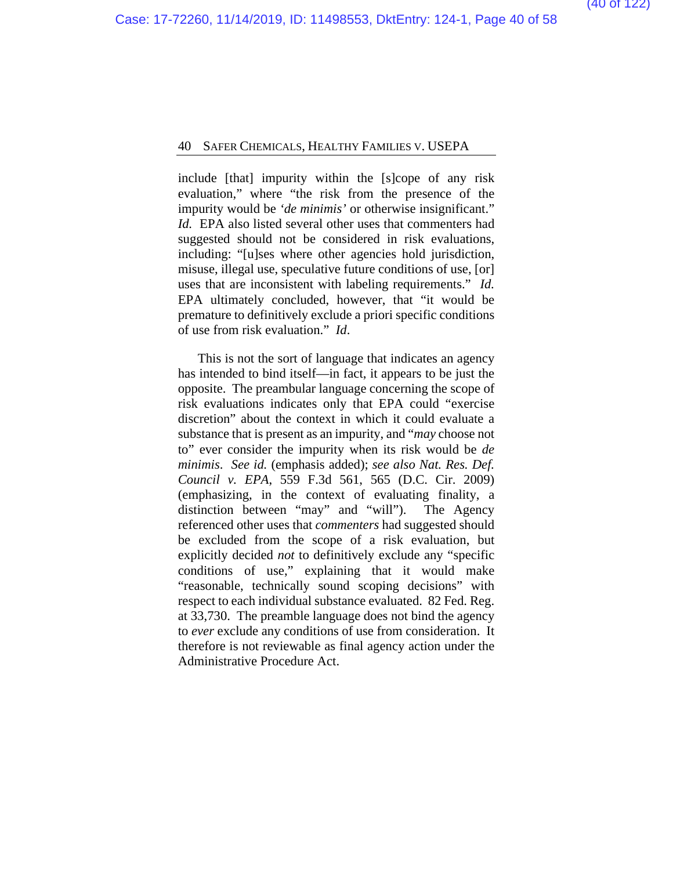include [that] impurity within the [s]cope of any risk evaluation," where "the risk from the presence of the impurity would be *'de minimis'* or otherwise insignificant." *Id.* EPA also listed several other uses that commenters had suggested should not be considered in risk evaluations, including: "[u]ses where other agencies hold jurisdiction, misuse, illegal use, speculative future conditions of use, [or] uses that are inconsistent with labeling requirements." *Id.* EPA ultimately concluded, however, that "it would be premature to definitively exclude a priori specific conditions of use from risk evaluation." *Id*.

This is not the sort of language that indicates an agency has intended to bind itself—in fact, it appears to be just the opposite. The preambular language concerning the scope of risk evaluations indicates only that EPA could "exercise discretion" about the context in which it could evaluate a substance that is present as an impurity, and "*may* choose not to" ever consider the impurity when its risk would be *de minimis*. *See id.* (emphasis added); *see also Nat. Res. Def. Council v. EPA*, 559 F.3d 561, 565 (D.C. Cir. 2009) (emphasizing, in the context of evaluating finality, a distinction between "may" and "will"). The Agency referenced other uses that *commenters* had suggested should be excluded from the scope of a risk evaluation, but explicitly decided *not* to definitively exclude any "specific conditions of use," explaining that it would make "reasonable, technically sound scoping decisions" with respect to each individual substance evaluated. 82 Fed. Reg. at 33,730. The preamble language does not bind the agency to *ever* exclude any conditions of use from consideration. It therefore is not reviewable as final agency action under the Administrative Procedure Act.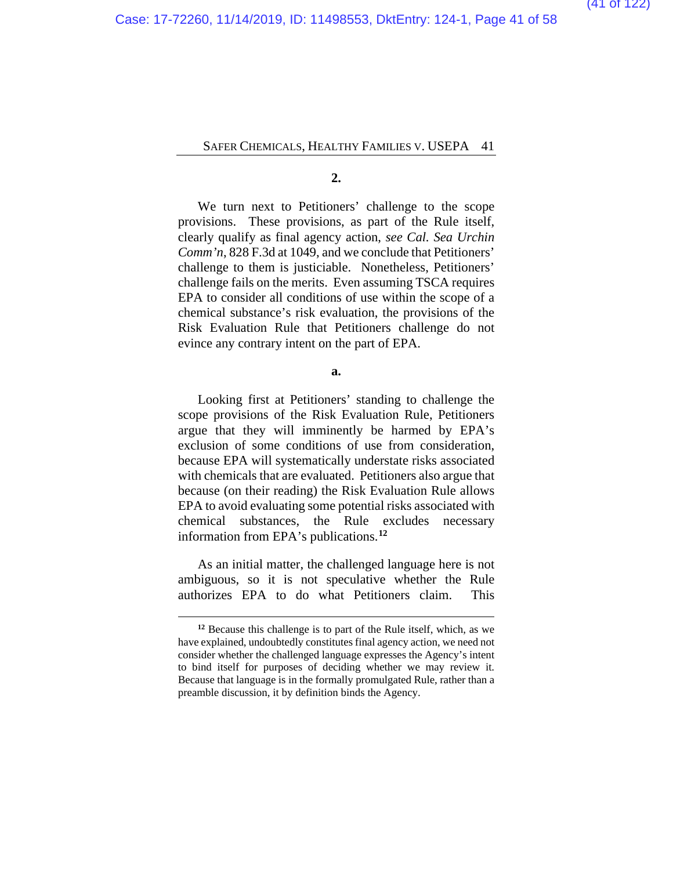**2.**

We turn next to Petitioners' challenge to the scope provisions. These provisions, as part of the Rule itself, clearly qualify as final agency action, *see Cal. Sea Urchin Comm'n*, 828 F.3d at 1049, and we conclude that Petitioners' challenge to them is justiciable. Nonetheless, Petitioners' challenge fails on the merits. Even assuming TSCA requires EPA to consider all conditions of use within the scope of a chemical substance's risk evaluation, the provisions of the Risk Evaluation Rule that Petitioners challenge do not evince any contrary intent on the part of EPA.

**a.**

Looking first at Petitioners' standing to challenge the scope provisions of the Risk Evaluation Rule, Petitioners argue that they will imminently be harmed by EPA's exclusion of some conditions of use from consideration, because EPA will systematically understate risks associated with chemicals that are evaluated. Petitioners also argue that because (on their reading) the Risk Evaluation Rule allows EPA to avoid evaluating some potential risks associated with chemical substances, the Rule excludes necessary information from EPA's publications.**[12](#page-57-0)**

As an initial matter, the challenged language here is not ambiguous, so it is not speculative whether the Rule authorizes EPA to do what Petitioners claim. This

**<sup>12</sup>** Because this challenge is to part of the Rule itself, which, as we have explained, undoubtedly constitutes final agency action, we need not consider whether the challenged language expresses the Agency's intent to bind itself for purposes of deciding whether we may review it. Because that language is in the formally promulgated Rule, rather than a preamble discussion, it by definition binds the Agency.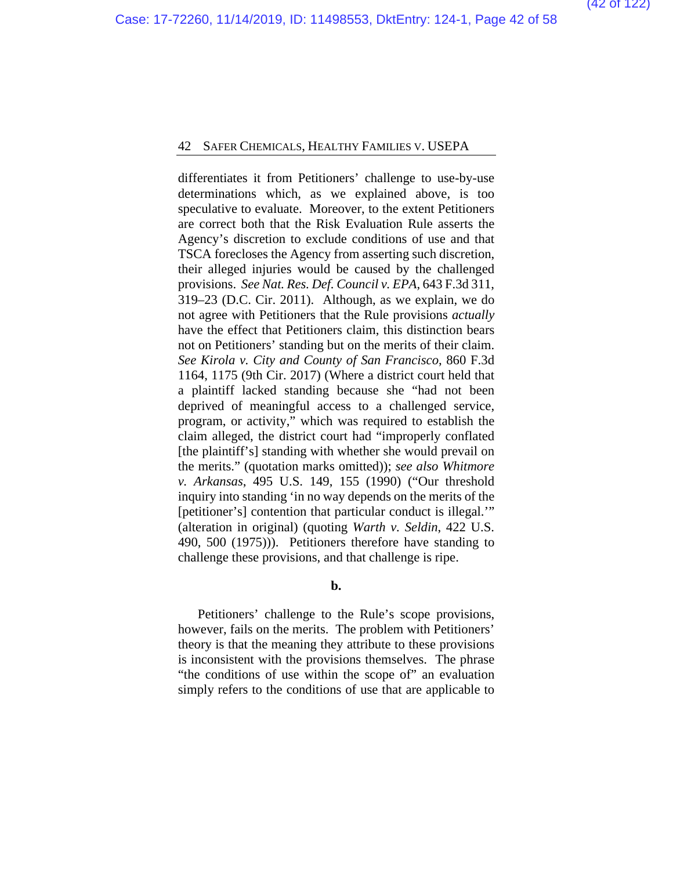differentiates it from Petitioners' challenge to use-by-use determinations which, as we explained above, is too speculative to evaluate. Moreover, to the extent Petitioners are correct both that the Risk Evaluation Rule asserts the Agency's discretion to exclude conditions of use and that TSCA forecloses the Agency from asserting such discretion, their alleged injuries would be caused by the challenged provisions. *See Nat. Res. Def. Council v. EPA*, 643 F.3d 311, 319–23 (D.C. Cir. 2011). Although, as we explain, we do not agree with Petitioners that the Rule provisions *actually*  have the effect that Petitioners claim, this distinction bears not on Petitioners' standing but on the merits of their claim. *See Kirola v. City and County of San Francisco*, 860 F.3d 1164, 1175 (9th Cir. 2017) (Where a district court held that a plaintiff lacked standing because she "had not been deprived of meaningful access to a challenged service, program, or activity," which was required to establish the claim alleged, the district court had "improperly conflated [the plaintiff's] standing with whether she would prevail on the merits." (quotation marks omitted)); *see also Whitmore v. Arkansas*, 495 U.S. 149, 155 (1990) ("Our threshold inquiry into standing 'in no way depends on the merits of the [petitioner's] contention that particular conduct is illegal." (alteration in original) (quoting *Warth v. Seldin*, 422 U.S. 490, 500 (1975))). Petitioners therefore have standing to challenge these provisions, and that challenge is ripe.

**b.**

Petitioners' challenge to the Rule's scope provisions, however, fails on the merits. The problem with Petitioners' theory is that the meaning they attribute to these provisions is inconsistent with the provisions themselves. The phrase "the conditions of use within the scope of" an evaluation simply refers to the conditions of use that are applicable to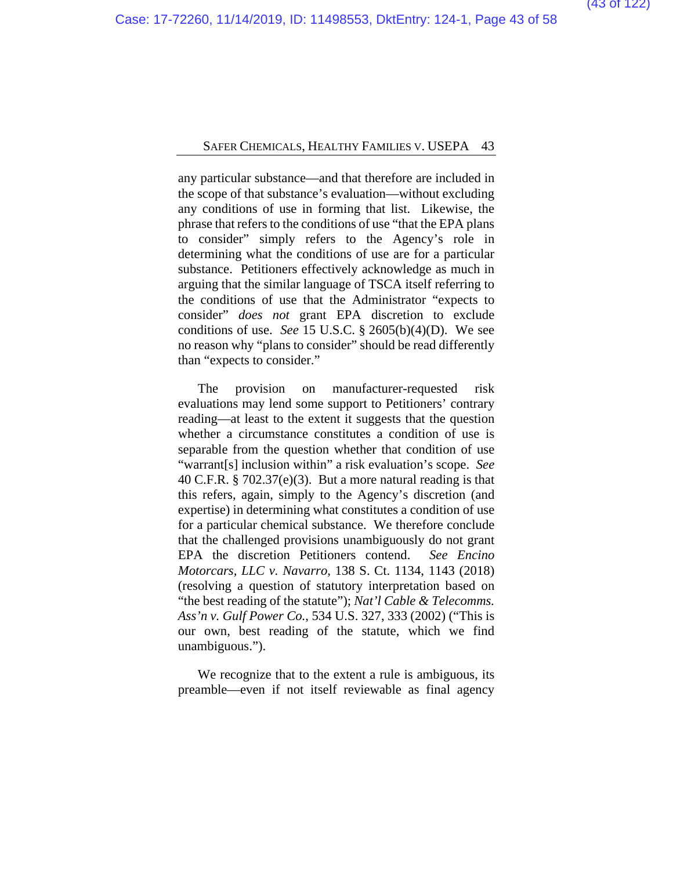any particular substance—and that therefore are included in the scope of that substance's evaluation—without excluding any conditions of use in forming that list. Likewise, the phrase that refers to the conditions of use "that the EPA plans to consider" simply refers to the Agency's role in determining what the conditions of use are for a particular substance. Petitioners effectively acknowledge as much in arguing that the similar language of TSCA itself referring to the conditions of use that the Administrator "expects to consider" *does not* grant EPA discretion to exclude conditions of use. *See* 15 U.S.C. § 2605(b)(4)(D). We see no reason why "plans to consider" should be read differently than "expects to consider."

The provision on manufacturer-requested risk evaluations may lend some support to Petitioners' contrary reading—at least to the extent it suggests that the question whether a circumstance constitutes a condition of use is separable from the question whether that condition of use "warrant[s] inclusion within" a risk evaluation's scope. *See*  40 C.F.R. § 702.37(e)(3). But a more natural reading is that this refers, again, simply to the Agency's discretion (and expertise) in determining what constitutes a condition of use for a particular chemical substance. We therefore conclude that the challenged provisions unambiguously do not grant EPA the discretion Petitioners contend. *See Encino Motorcars, LLC v. Navarro*, 138 S. Ct. 1134, 1143 (2018) (resolving a question of statutory interpretation based on "the best reading of the statute"); *Nat'l Cable & Telecomms. Ass'n v. Gulf Power Co.*, 534 U.S. 327, 333 (2002) ("This is our own, best reading of the statute, which we find unambiguous.").

We recognize that to the extent a rule is ambiguous, its preamble—even if not itself reviewable as final agency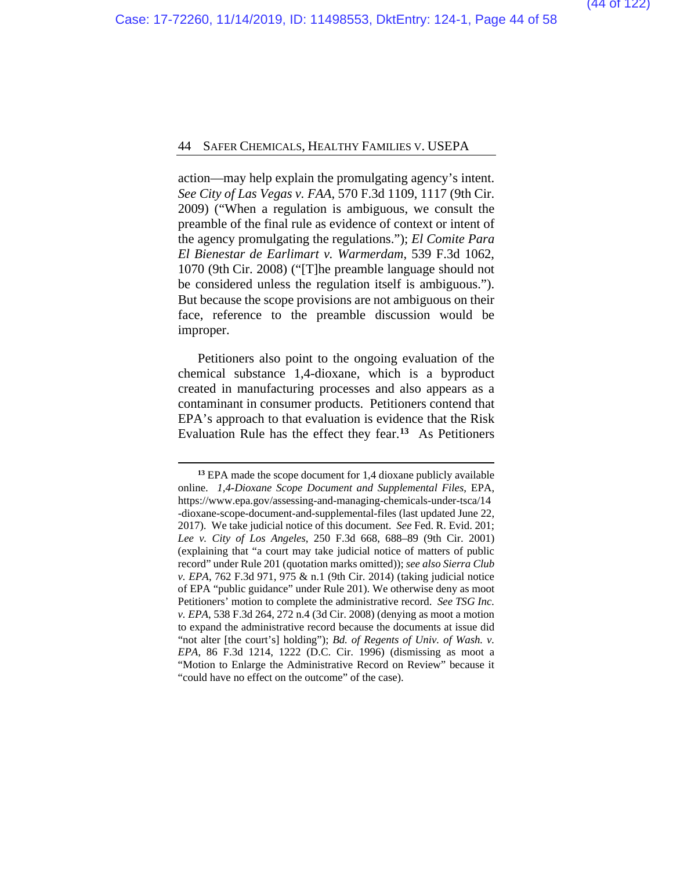action—may help explain the promulgating agency's intent. *See City of Las Vegas v. FAA*, 570 F.3d 1109, 1117 (9th Cir. 2009) ("When a regulation is ambiguous, we consult the preamble of the final rule as evidence of context or intent of the agency promulgating the regulations."); *El Comite Para El Bienestar de Earlimart v. Warmerdam*, 539 F.3d 1062, 1070 (9th Cir. 2008) ("[T]he preamble language should not be considered unless the regulation itself is ambiguous."). But because the scope provisions are not ambiguous on their face, reference to the preamble discussion would be improper.

Petitioners also point to the ongoing evaluation of the chemical substance 1,4-dioxane, which is a byproduct created in manufacturing processes and also appears as a contaminant in consumer products. Petitioners contend that EPA's approach to that evaluation is evidence that the Risk Evaluation Rule has the effect they fear.**[13](#page-57-0)** As Petitioners

**<sup>13</sup>** EPA made the scope document for 1,4 dioxane publicly available online. *1,4-Dioxane Scope Document and Supplemental Files*, EPA, https://www.epa.gov/assessing-and-managing-chemicals-under-tsca/14 -dioxane-scope-document-and-supplemental-files (last updated June 22, 2017).We take judicial notice of this document. *See* Fed. R. Evid. 201; *Lee v. City of Los Angeles*, 250 F.3d 668, 688–89 (9th Cir. 2001) (explaining that "a court may take judicial notice of matters of public record" under Rule 201 (quotation marks omitted)); *see also Sierra Club v. EPA*, 762 F.3d 971, 975 & n.1 (9th Cir. 2014) (taking judicial notice of EPA "public guidance" under Rule 201). We otherwise deny as moot Petitioners' motion to complete the administrative record. *See TSG Inc. v. EPA*, 538 F.3d 264, 272 n.4 (3d Cir. 2008) (denying as moot a motion to expand the administrative record because the documents at issue did "not alter [the court's] holding"); *Bd. of Regents of Univ. of Wash. v. EPA*, 86 F.3d 1214, 1222 (D.C. Cir. 1996) (dismissing as moot a "Motion to Enlarge the Administrative Record on Review" because it "could have no effect on the outcome" of the case).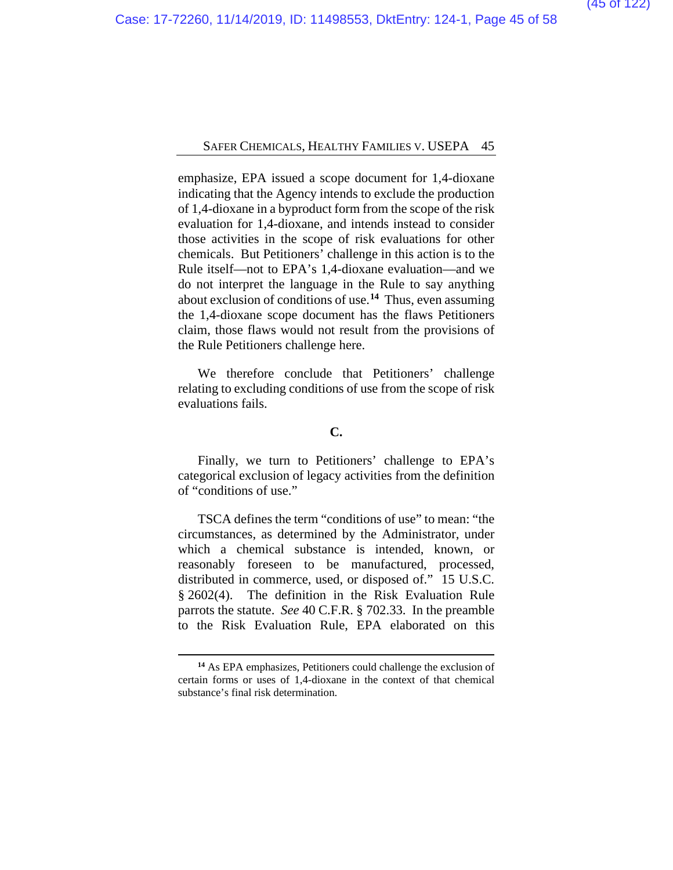emphasize, EPA issued a scope document for 1,4-dioxane indicating that the Agency intends to exclude the production of 1,4-dioxane in a byproduct form from the scope of the risk evaluation for 1,4-dioxane, and intends instead to consider those activities in the scope of risk evaluations for other chemicals. But Petitioners' challenge in this action is to the Rule itself—not to EPA's 1,4-dioxane evaluation—and we do not interpret the language in the Rule to say anything about exclusion of conditions of use.**[14](#page-57-0)** Thus, even assuming the 1,4-dioxane scope document has the flaws Petitioners claim, those flaws would not result from the provisions of the Rule Petitioners challenge here.

We therefore conclude that Petitioners' challenge relating to excluding conditions of use from the scope of risk evaluations fails.

### **C.**

Finally, we turn to Petitioners' challenge to EPA's categorical exclusion of legacy activities from the definition of "conditions of use."

TSCA defines the term "conditions of use" to mean: "the circumstances, as determined by the Administrator, under which a chemical substance is intended, known, or reasonably foreseen to be manufactured, processed, distributed in commerce, used, or disposed of." 15 U.S.C. § 2602(4). The definition in the Risk Evaluation Rule parrots the statute. *See* 40 C.F.R. § 702.33. In the preamble to the Risk Evaluation Rule, EPA elaborated on this

**<sup>14</sup>** As EPA emphasizes, Petitioners could challenge the exclusion of certain forms or uses of 1,4-dioxane in the context of that chemical substance's final risk determination.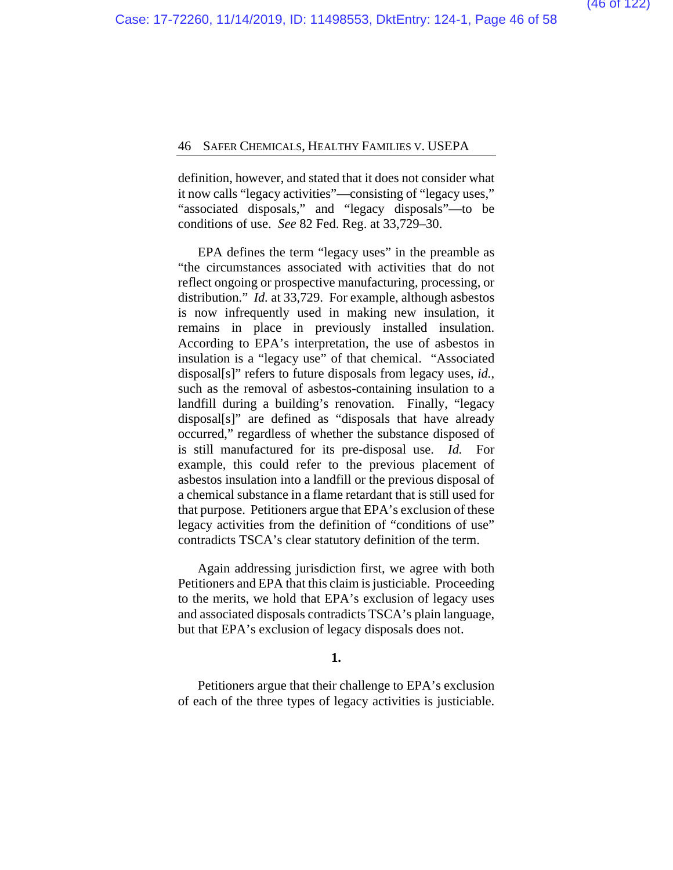definition, however, and stated that it does not consider what it now calls "legacy activities"—consisting of "legacy uses," "associated disposals," and "legacy disposals"—to be conditions of use. *See* 82 Fed. Reg. at 33,729–30.

EPA defines the term "legacy uses" in the preamble as "the circumstances associated with activities that do not reflect ongoing or prospective manufacturing, processing, or distribution." *Id.* at 33,729. For example, although asbestos is now infrequently used in making new insulation, it remains in place in previously installed insulation. According to EPA's interpretation, the use of asbestos in insulation is a "legacy use" of that chemical. "Associated disposal[s]" refers to future disposals from legacy uses, *id.*, such as the removal of asbestos-containing insulation to a landfill during a building's renovation. Finally, "legacy disposal[s]" are defined as "disposals that have already occurred," regardless of whether the substance disposed of is still manufactured for its pre-disposal use. *Id.* For example, this could refer to the previous placement of asbestos insulation into a landfill or the previous disposal of a chemical substance in a flame retardant that is still used for that purpose. Petitioners argue that EPA's exclusion of these legacy activities from the definition of "conditions of use" contradicts TSCA's clear statutory definition of the term.

Again addressing jurisdiction first, we agree with both Petitioners and EPA that this claim is justiciable. Proceeding to the merits, we hold that EPA's exclusion of legacy uses and associated disposals contradicts TSCA's plain language, but that EPA's exclusion of legacy disposals does not.

#### **1.**

Petitioners argue that their challenge to EPA's exclusion of each of the three types of legacy activities is justiciable.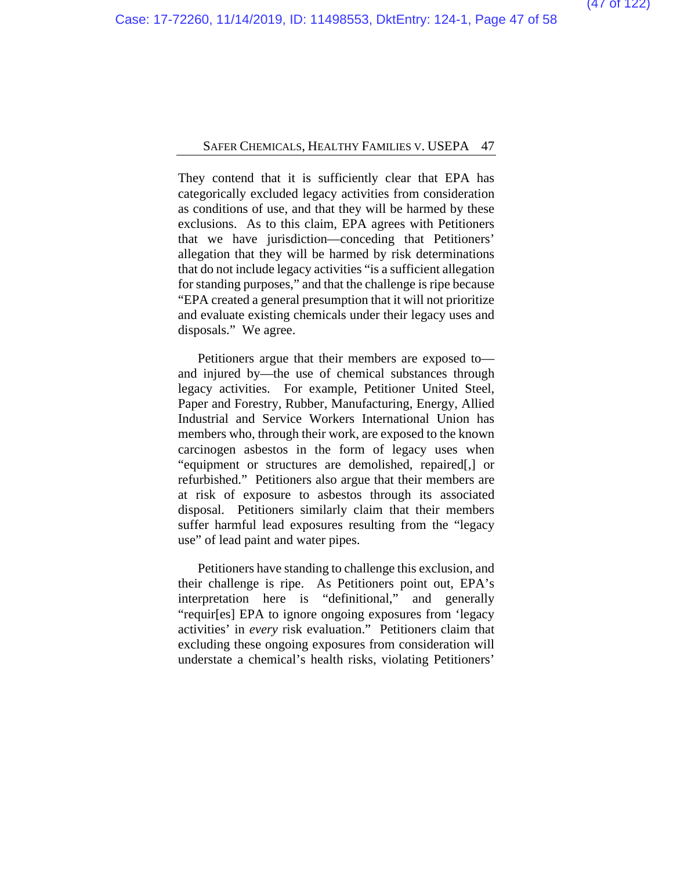They contend that it is sufficiently clear that EPA has categorically excluded legacy activities from consideration as conditions of use, and that they will be harmed by these exclusions. As to this claim, EPA agrees with Petitioners that we have jurisdiction—conceding that Petitioners' allegation that they will be harmed by risk determinations that do not include legacy activities "is a sufficient allegation for standing purposes," and that the challenge is ripe because "EPA created a general presumption that it will not prioritize and evaluate existing chemicals under their legacy uses and disposals." We agree.

Petitioners argue that their members are exposed to and injured by—the use of chemical substances through legacy activities. For example, Petitioner United Steel, Paper and Forestry, Rubber, Manufacturing, Energy, Allied Industrial and Service Workers International Union has members who, through their work, are exposed to the known carcinogen asbestos in the form of legacy uses when "equipment or structures are demolished, repaired[,] or refurbished." Petitioners also argue that their members are at risk of exposure to asbestos through its associated disposal. Petitioners similarly claim that their members suffer harmful lead exposures resulting from the "legacy use" of lead paint and water pipes.

Petitioners have standing to challenge this exclusion, and their challenge is ripe. As Petitioners point out, EPA's interpretation here is "definitional," and generally "requir[es] EPA to ignore ongoing exposures from 'legacy activities' in *every* risk evaluation." Petitioners claim that excluding these ongoing exposures from consideration will understate a chemical's health risks, violating Petitioners'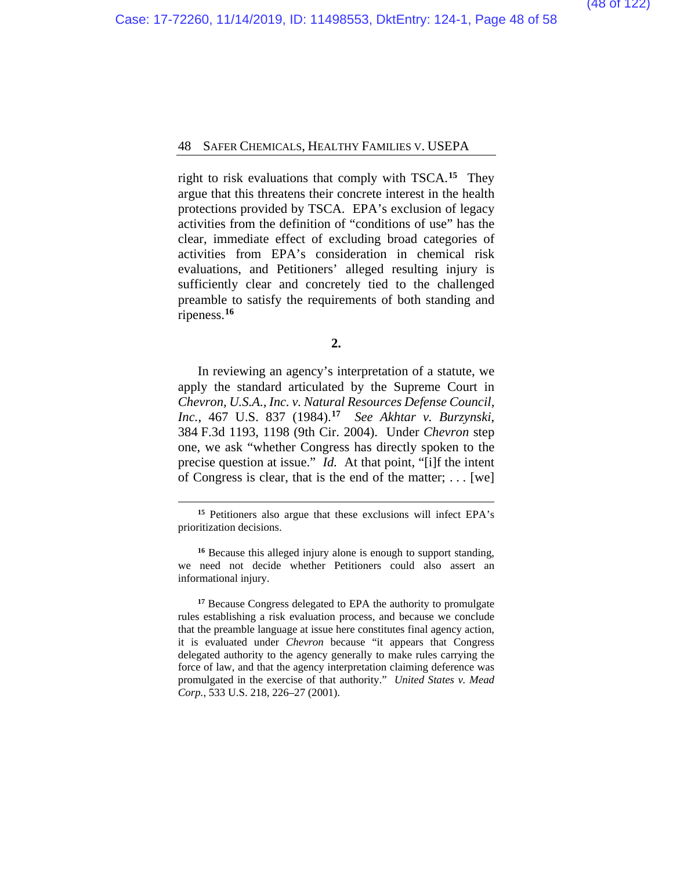right to risk evaluations that comply with TSCA.**[15](#page-57-0)** They argue that this threatens their concrete interest in the health protections provided by TSCA. EPA's exclusion of legacy activities from the definition of "conditions of use" has the clear, immediate effect of excluding broad categories of activities from EPA's consideration in chemical risk evaluations, and Petitioners' alleged resulting injury is sufficiently clear and concretely tied to the challenged preamble to satisfy the requirements of both standing and ripeness.**[16](#page-57-0)**

**2.**

In reviewing an agency's interpretation of a statute, we apply the standard articulated by the Supreme Court in *Chevron, U.S.A., Inc. v. Natural Resources Defense Council, Inc.*, 467 U.S. 837 (1984).**[17](#page-57-0)** *See Akhtar v. Burzynski*, 384 F.3d 1193, 1198 (9th Cir. 2004). Under *Chevron* step one, we ask "whether Congress has directly spoken to the precise question at issue." *Id.* At that point, "[i]f the intent of Congress is clear, that is the end of the matter; . . . [we]

**<sup>15</sup>** Petitioners also argue that these exclusions will infect EPA's prioritization decisions.

**<sup>16</sup>** Because this alleged injury alone is enough to support standing, we need not decide whether Petitioners could also assert an informational injury.

**<sup>17</sup>** Because Congress delegated to EPA the authority to promulgate rules establishing a risk evaluation process, and because we conclude that the preamble language at issue here constitutes final agency action, it is evaluated under *Chevron* because "it appears that Congress delegated authority to the agency generally to make rules carrying the force of law, and that the agency interpretation claiming deference was promulgated in the exercise of that authority." *United States v. Mead Corp.*, 533 U.S. 218, 226–27 (2001).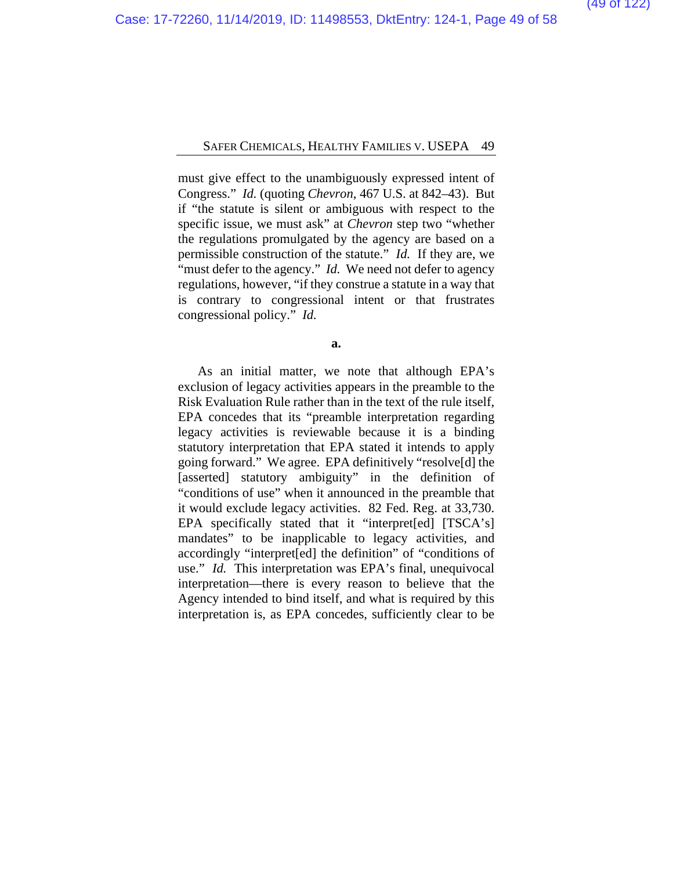must give effect to the unambiguously expressed intent of Congress." *Id.* (quoting *Chevron*, 467 U.S. at 842–43). But if "the statute is silent or ambiguous with respect to the specific issue, we must ask" at *Chevron* step two "whether the regulations promulgated by the agency are based on a permissible construction of the statute." *Id.* If they are, we "must defer to the agency." *Id.* We need not defer to agency regulations, however, "if they construe a statute in a way that is contrary to congressional intent or that frustrates congressional policy." *Id.*

**a.**

As an initial matter, we note that although EPA's exclusion of legacy activities appears in the preamble to the Risk Evaluation Rule rather than in the text of the rule itself, EPA concedes that its "preamble interpretation regarding legacy activities is reviewable because it is a binding statutory interpretation that EPA stated it intends to apply going forward." We agree. EPA definitively "resolve[d] the [asserted] statutory ambiguity" in the definition of "conditions of use" when it announced in the preamble that it would exclude legacy activities. 82 Fed. Reg. at 33,730. EPA specifically stated that it "interpret[ed] [TSCA's] mandates" to be inapplicable to legacy activities, and accordingly "interpret[ed] the definition" of "conditions of use." *Id.* This interpretation was EPA's final, unequivocal interpretation—there is every reason to believe that the Agency intended to bind itself, and what is required by this interpretation is, as EPA concedes, sufficiently clear to be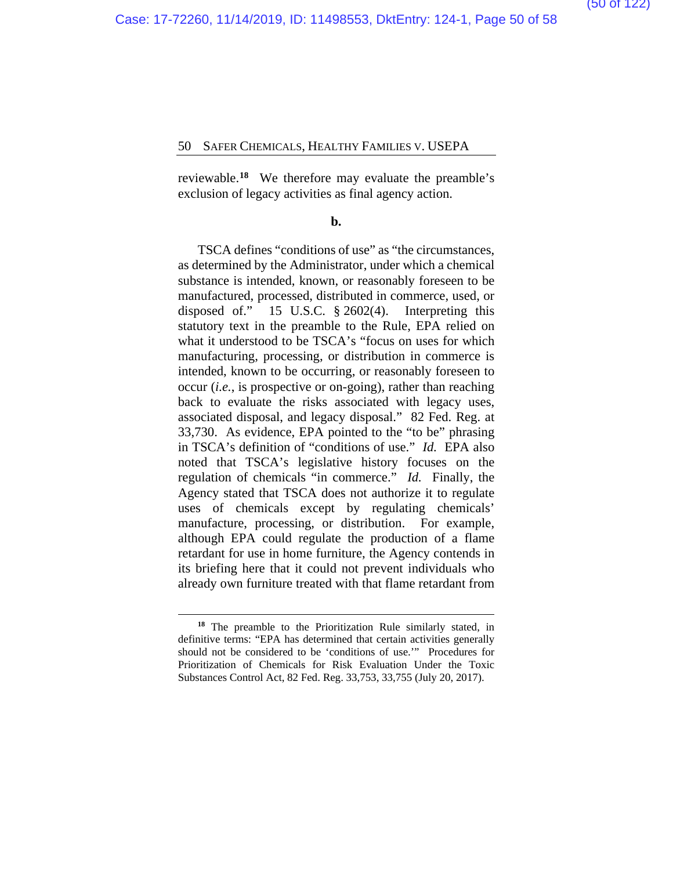reviewable.**[18](#page-57-0)** We therefore may evaluate the preamble's exclusion of legacy activities as final agency action.

#### **b.**

TSCA defines "conditions of use" as "the circumstances, as determined by the Administrator, under which a chemical substance is intended, known, or reasonably foreseen to be manufactured, processed, distributed in commerce, used, or disposed of." 15 U.S.C. § 2602(4). Interpreting this statutory text in the preamble to the Rule, EPA relied on what it understood to be TSCA's "focus on uses for which manufacturing, processing, or distribution in commerce is intended, known to be occurring, or reasonably foreseen to occur (*i.e.*, is prospective or on-going), rather than reaching back to evaluate the risks associated with legacy uses, associated disposal, and legacy disposal." 82 Fed. Reg. at 33,730. As evidence, EPA pointed to the "to be" phrasing in TSCA's definition of "conditions of use." *Id.* EPA also noted that TSCA's legislative history focuses on the regulation of chemicals "in commerce." *Id.* Finally, the Agency stated that TSCA does not authorize it to regulate uses of chemicals except by regulating chemicals' manufacture, processing, or distribution. For example, although EPA could regulate the production of a flame retardant for use in home furniture, the Agency contends in its briefing here that it could not prevent individuals who already own furniture treated with that flame retardant from

**<sup>18</sup>** The preamble to the Prioritization Rule similarly stated, in definitive terms: "EPA has determined that certain activities generally should not be considered to be 'conditions of use.'" Procedures for Prioritization of Chemicals for Risk Evaluation Under the Toxic Substances Control Act, 82 Fed. Reg. 33,753, 33,755 (July 20, 2017).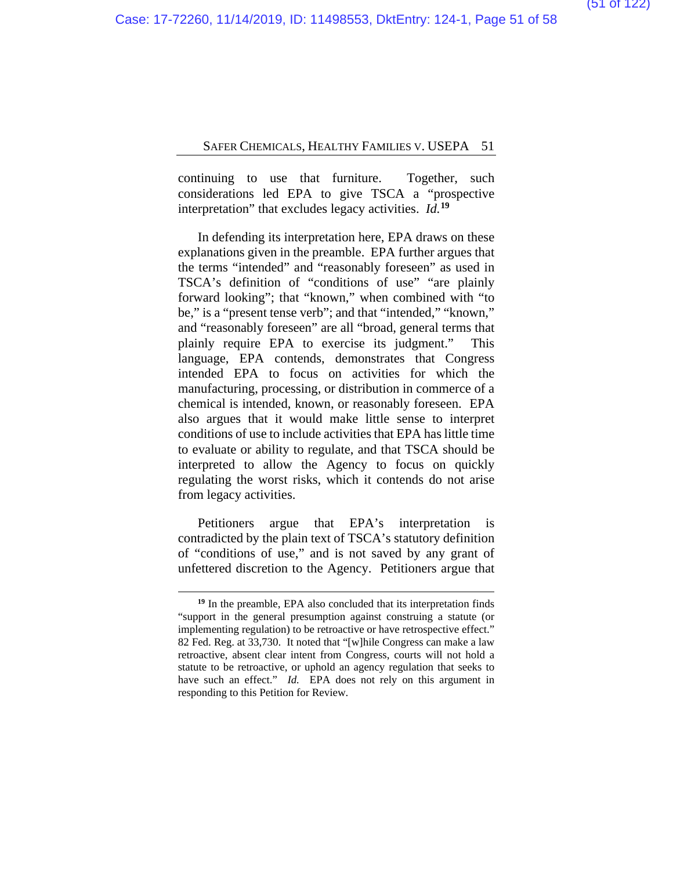continuing to use that furniture. Together, such considerations led EPA to give TSCA a "prospective interpretation" that excludes legacy activities. *Id.***[19](#page-57-0)**

In defending its interpretation here, EPA draws on these explanations given in the preamble. EPA further argues that the terms "intended" and "reasonably foreseen" as used in TSCA's definition of "conditions of use" "are plainly forward looking"; that "known," when combined with "to be," is a "present tense verb"; and that "intended," "known," and "reasonably foreseen" are all "broad, general terms that plainly require EPA to exercise its judgment." This language, EPA contends, demonstrates that Congress intended EPA to focus on activities for which the manufacturing, processing, or distribution in commerce of a chemical is intended, known, or reasonably foreseen. EPA also argues that it would make little sense to interpret conditions of use to include activities that EPA has little time to evaluate or ability to regulate, and that TSCA should be interpreted to allow the Agency to focus on quickly regulating the worst risks, which it contends do not arise from legacy activities.

Petitioners argue that EPA's interpretation is contradicted by the plain text of TSCA's statutory definition of "conditions of use," and is not saved by any grant of unfettered discretion to the Agency. Petitioners argue that

**<sup>19</sup>** In the preamble, EPA also concluded that its interpretation finds "support in the general presumption against construing a statute (or implementing regulation) to be retroactive or have retrospective effect." 82 Fed. Reg. at 33,730. It noted that "[w]hile Congress can make a law retroactive, absent clear intent from Congress, courts will not hold a statute to be retroactive, or uphold an agency regulation that seeks to have such an effect." *Id.* EPA does not rely on this argument in responding to this Petition for Review.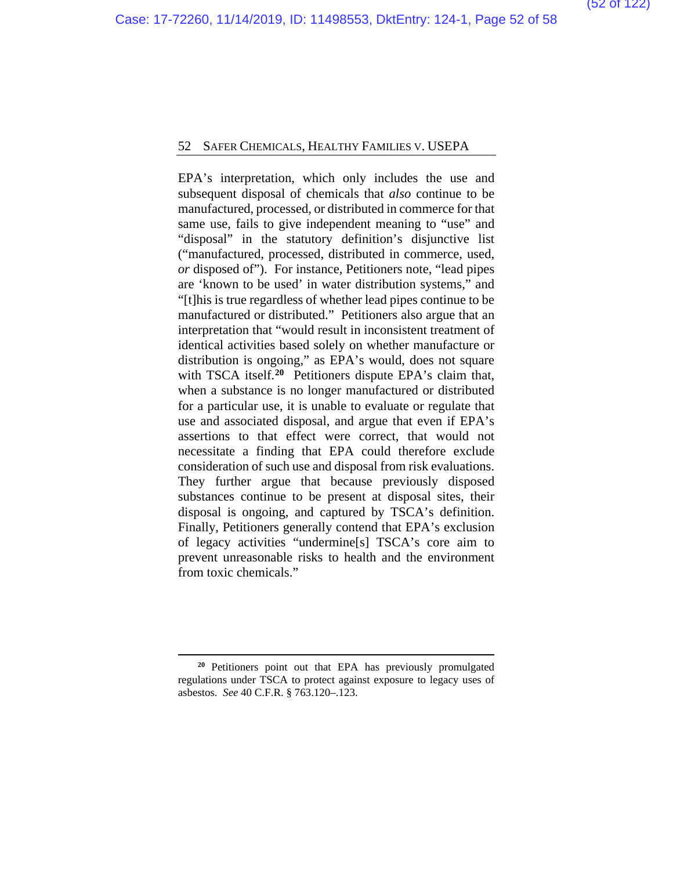EPA's interpretation, which only includes the use and subsequent disposal of chemicals that *also* continue to be manufactured, processed, or distributed in commerce for that same use, fails to give independent meaning to "use" and "disposal" in the statutory definition's disjunctive list ("manufactured, processed, distributed in commerce, used, *or* disposed of"). For instance, Petitioners note, "lead pipes are 'known to be used' in water distribution systems," and "[t]his is true regardless of whether lead pipes continue to be manufactured or distributed." Petitioners also argue that an interpretation that "would result in inconsistent treatment of identical activities based solely on whether manufacture or distribution is ongoing," as EPA's would, does not square with TSCA itself.<sup>[20](#page-57-0)</sup> Petitioners dispute EPA's claim that, when a substance is no longer manufactured or distributed for a particular use, it is unable to evaluate or regulate that use and associated disposal, and argue that even if EPA's assertions to that effect were correct, that would not necessitate a finding that EPA could therefore exclude consideration of such use and disposal from risk evaluations. They further argue that because previously disposed substances continue to be present at disposal sites, their disposal is ongoing, and captured by TSCA's definition. Finally, Petitioners generally contend that EPA's exclusion of legacy activities "undermine[s] TSCA's core aim to prevent unreasonable risks to health and the environment from toxic chemicals."

**<sup>20</sup>** Petitioners point out that EPA has previously promulgated regulations under TSCA to protect against exposure to legacy uses of asbestos. *See* 40 C.F.R. § 763.120–.123.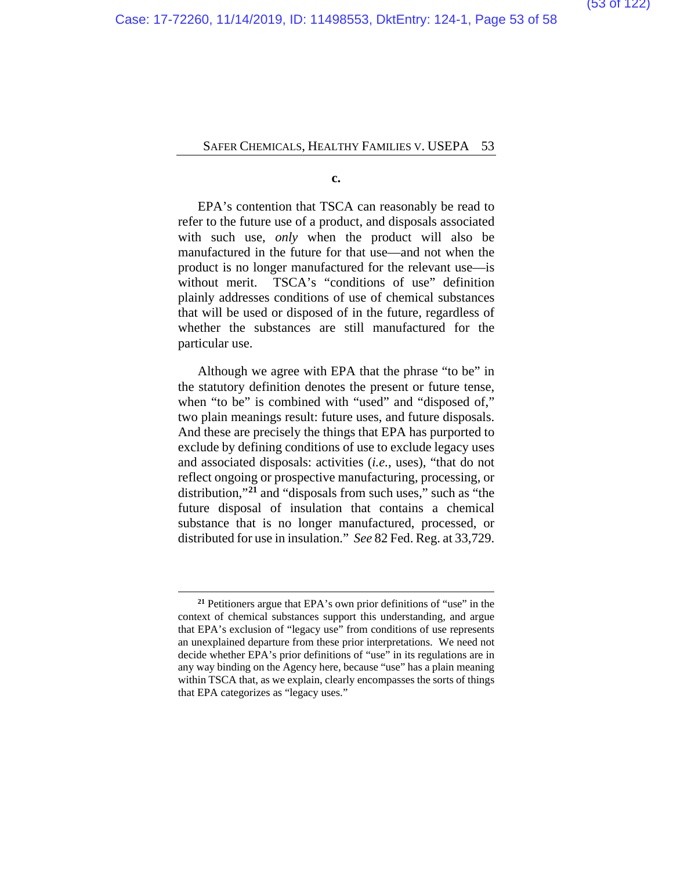**c.**

EPA's contention that TSCA can reasonably be read to refer to the future use of a product, and disposals associated with such use, *only* when the product will also be manufactured in the future for that use—and not when the product is no longer manufactured for the relevant use—is without merit. TSCA's "conditions of use" definition plainly addresses conditions of use of chemical substances that will be used or disposed of in the future, regardless of whether the substances are still manufactured for the particular use.

Although we agree with EPA that the phrase "to be" in the statutory definition denotes the present or future tense, when "to be" is combined with "used" and "disposed of," two plain meanings result: future uses, and future disposals. And these are precisely the things that EPA has purported to exclude by defining conditions of use to exclude legacy uses and associated disposals: activities (*i.e.*, uses), "that do not reflect ongoing or prospective manufacturing, processing, or distribution,"**[21](#page-57-0)** and "disposals from such uses," such as "the future disposal of insulation that contains a chemical substance that is no longer manufactured, processed, or distributed for use in insulation." *See* 82 Fed. Reg. at 33,729.

**<sup>21</sup>** Petitioners argue that EPA's own prior definitions of "use" in the context of chemical substances support this understanding, and argue that EPA's exclusion of "legacy use" from conditions of use represents an unexplained departure from these prior interpretations. We need not decide whether EPA's prior definitions of "use" in its regulations are in any way binding on the Agency here, because "use" has a plain meaning within TSCA that, as we explain, clearly encompasses the sorts of things that EPA categorizes as "legacy uses."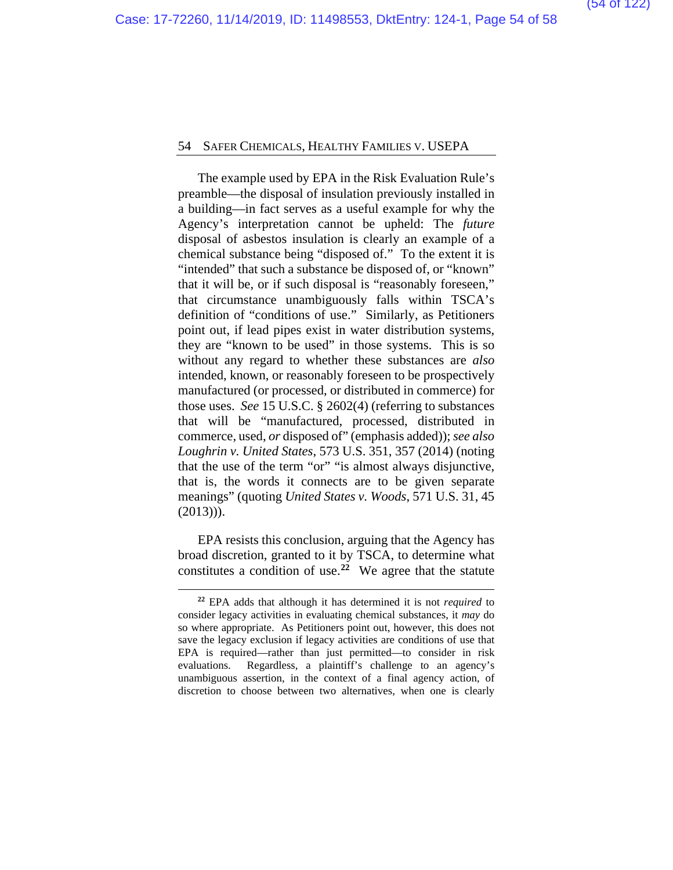The example used by EPA in the Risk Evaluation Rule's preamble—the disposal of insulation previously installed in a building—in fact serves as a useful example for why the Agency's interpretation cannot be upheld: The *future*  disposal of asbestos insulation is clearly an example of a chemical substance being "disposed of." To the extent it is "intended" that such a substance be disposed of, or "known" that it will be, or if such disposal is "reasonably foreseen," that circumstance unambiguously falls within TSCA's definition of "conditions of use." Similarly, as Petitioners point out, if lead pipes exist in water distribution systems, they are "known to be used" in those systems. This is so without any regard to whether these substances are *also* intended, known, or reasonably foreseen to be prospectively manufactured (or processed, or distributed in commerce) for those uses. *See* 15 U.S.C. § 2602(4) (referring to substances that will be "manufactured, processed, distributed in commerce, used, *or* disposed of" (emphasis added)); *see also Loughrin v. United States*, 573 U.S. 351, 357 (2014) (noting that the use of the term "or" "is almost always disjunctive, that is, the words it connects are to be given separate meanings" (quoting *United States v. Woods*, 571 U.S. 31, 45  $(2013))$ .

EPA resists this conclusion, arguing that the Agency has broad discretion, granted to it by TSCA, to determine what constitutes a condition of use.**[22](#page-57-0)** We agree that the statute

**<sup>22</sup>** EPA adds that although it has determined it is not *required* to consider legacy activities in evaluating chemical substances, it *may* do so where appropriate. As Petitioners point out, however, this does not save the legacy exclusion if legacy activities are conditions of use that EPA is required—rather than just permitted—to consider in risk evaluations. Regardless, a plaintiff's challenge to an agency's unambiguous assertion, in the context of a final agency action, of discretion to choose between two alternatives, when one is clearly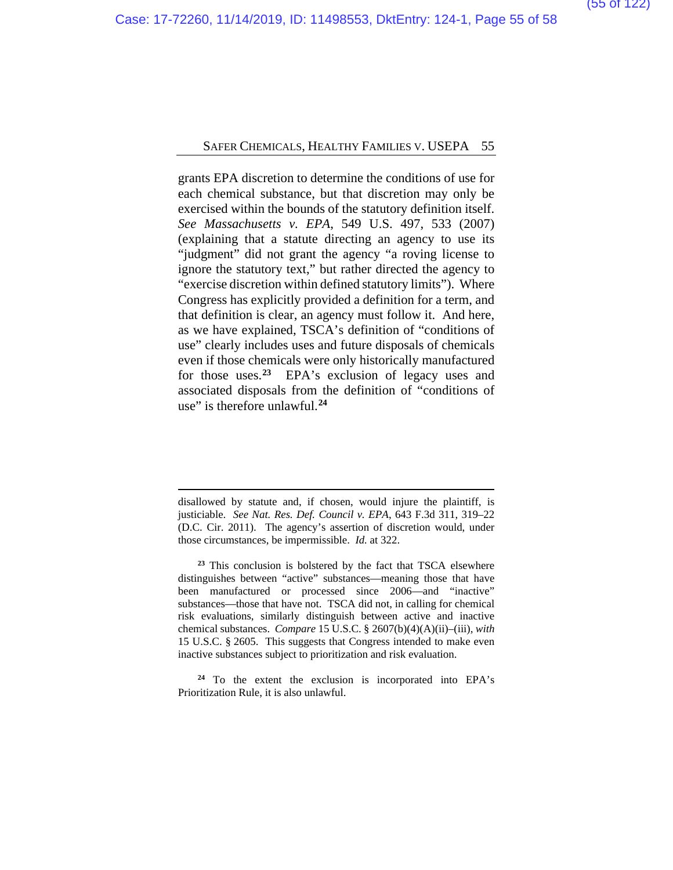grants EPA discretion to determine the conditions of use for each chemical substance, but that discretion may only be exercised within the bounds of the statutory definition itself. *See Massachusetts v. EPA*, 549 U.S. 497, 533 (2007) (explaining that a statute directing an agency to use its "judgment" did not grant the agency "a roving license to ignore the statutory text," but rather directed the agency to "exercise discretion within defined statutory limits"). Where Congress has explicitly provided a definition for a term, and that definition is clear, an agency must follow it. And here, as we have explained, TSCA's definition of "conditions of use" clearly includes uses and future disposals of chemicals even if those chemicals were only historically manufactured for those uses.**[23](#page-57-0)** EPA's exclusion of legacy uses and associated disposals from the definition of "conditions of use" is therefore unlawful.**[24](#page-57-0)**

disallowed by statute and, if chosen, would injure the plaintiff, is justiciable. *See Nat. Res. Def. Council v. EPA*, 643 F.3d 311, 319–22 (D.C. Cir. 2011). The agency's assertion of discretion would, under those circumstances, be impermissible. *Id.* at 322.

**<sup>23</sup>** This conclusion is bolstered by the fact that TSCA elsewhere distinguishes between "active" substances—meaning those that have been manufactured or processed since 2006—and "inactive" substances—those that have not. TSCA did not, in calling for chemical risk evaluations, similarly distinguish between active and inactive chemical substances. *Compare* 15 U.S.C. § 2607(b)(4)(A)(ii)–(iii), *with*  15 U.S.C. § 2605. This suggests that Congress intended to make even inactive substances subject to prioritization and risk evaluation.

**<sup>24</sup>** To the extent the exclusion is incorporated into EPA's Prioritization Rule, it is also unlawful.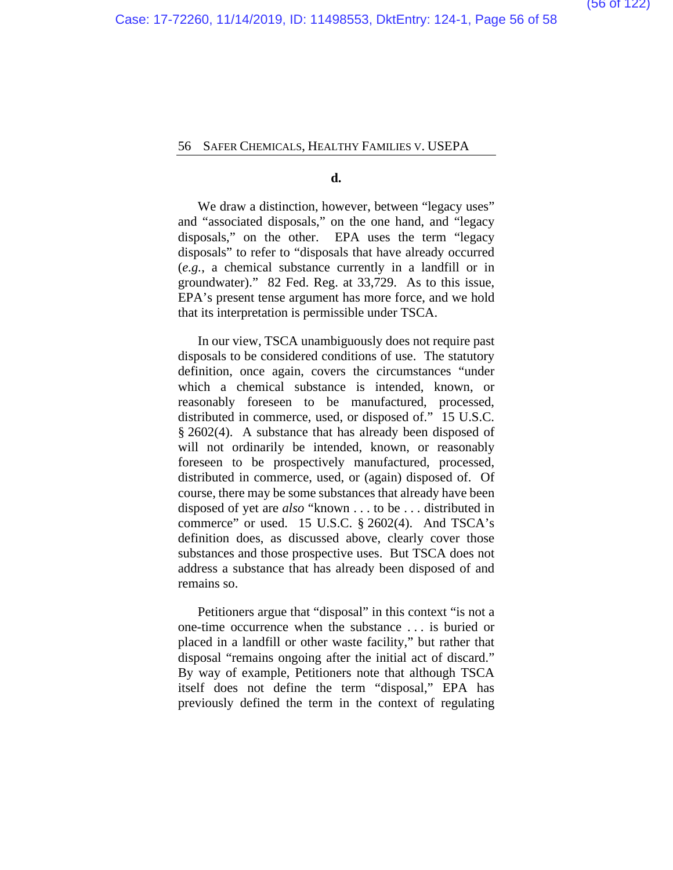**d.**

We draw a distinction, however, between "legacy uses" and "associated disposals," on the one hand, and "legacy disposals," on the other. EPA uses the term "legacy disposals" to refer to "disposals that have already occurred (*e.g.*, a chemical substance currently in a landfill or in groundwater)." 82 Fed. Reg. at 33,729. As to this issue, EPA's present tense argument has more force, and we hold that its interpretation is permissible under TSCA.

In our view, TSCA unambiguously does not require past disposals to be considered conditions of use. The statutory definition, once again, covers the circumstances "under which a chemical substance is intended, known, or reasonably foreseen to be manufactured, processed, distributed in commerce, used, or disposed of." 15 U.S.C. § 2602(4). A substance that has already been disposed of will not ordinarily be intended, known, or reasonably foreseen to be prospectively manufactured, processed, distributed in commerce, used, or (again) disposed of. Of course, there may be some substances that already have been disposed of yet are *also* "known . . . to be . . . distributed in commerce" or used. 15 U.S.C. § 2602(4). And TSCA's definition does, as discussed above, clearly cover those substances and those prospective uses. But TSCA does not address a substance that has already been disposed of and remains so.

Petitioners argue that "disposal" in this context "is not a one-time occurrence when the substance . . . is buried or placed in a landfill or other waste facility," but rather that disposal "remains ongoing after the initial act of discard." By way of example, Petitioners note that although TSCA itself does not define the term "disposal," EPA has previously defined the term in the context of regulating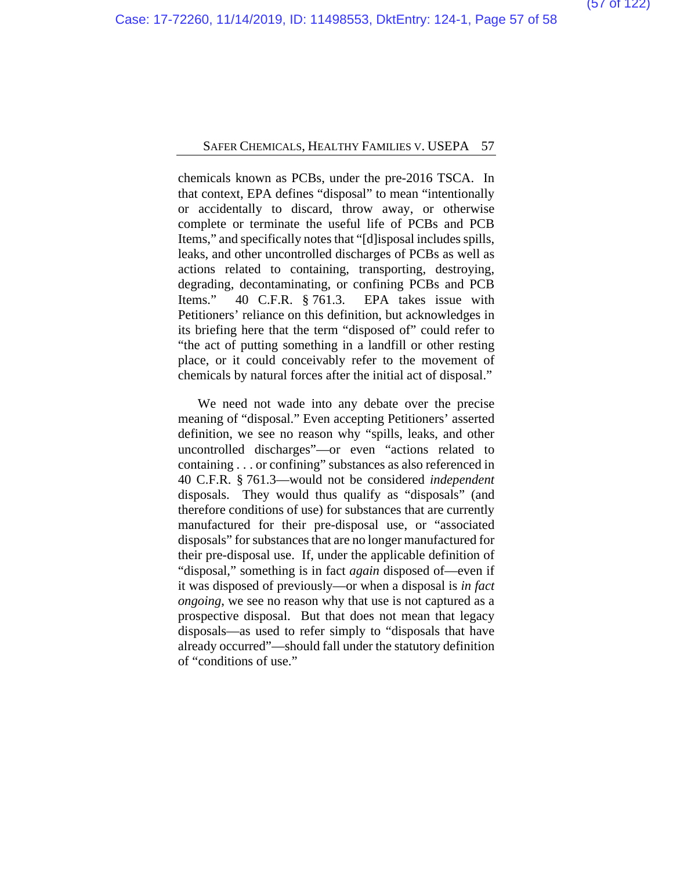chemicals known as PCBs, under the pre-2016 TSCA. In that context, EPA defines "disposal" to mean "intentionally or accidentally to discard, throw away, or otherwise complete or terminate the useful life of PCBs and PCB Items," and specifically notes that "[d]isposal includes spills, leaks, and other uncontrolled discharges of PCBs as well as actions related to containing, transporting, destroying, degrading, decontaminating, or confining PCBs and PCB Items." 40 C.F.R. § 761.3. EPA takes issue with Petitioners' reliance on this definition, but acknowledges in its briefing here that the term "disposed of" could refer to "the act of putting something in a landfill or other resting place, or it could conceivably refer to the movement of chemicals by natural forces after the initial act of disposal."

We need not wade into any debate over the precise meaning of "disposal." Even accepting Petitioners' asserted definition, we see no reason why "spills, leaks, and other uncontrolled discharges"—or even "actions related to containing . . . or confining" substances as also referenced in 40 C.F.R. § 761.3—would not be considered *independent*  disposals. They would thus qualify as "disposals" (and therefore conditions of use) for substances that are currently manufactured for their pre-disposal use, or "associated disposals" for substances that are no longer manufactured for their pre-disposal use. If, under the applicable definition of "disposal," something is in fact *again* disposed of—even if it was disposed of previously—or when a disposal is *in fact ongoing*, we see no reason why that use is not captured as a prospective disposal. But that does not mean that legacy disposals—as used to refer simply to "disposals that have already occurred"—should fall under the statutory definition of "conditions of use."